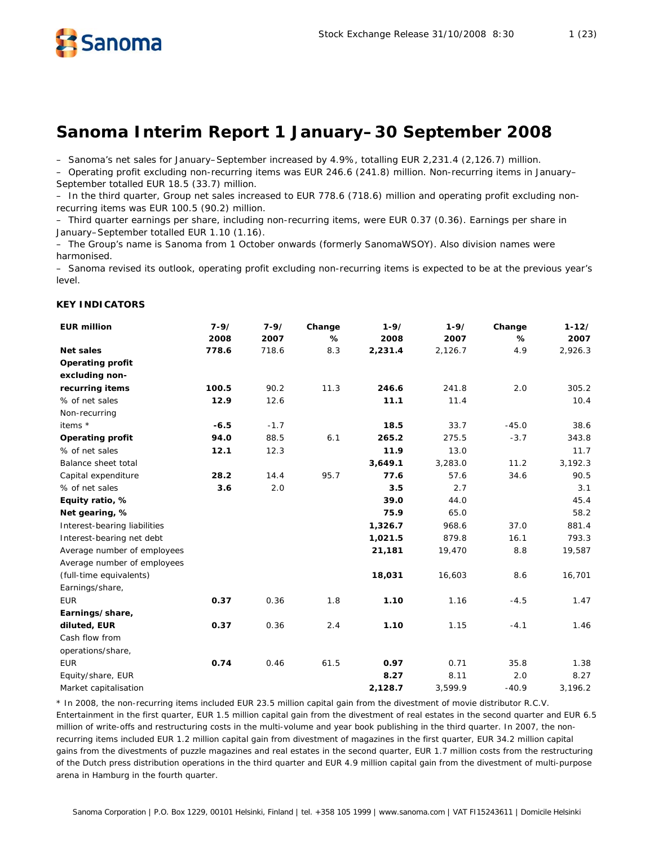

– Sanoma's net sales for January–September increased by 4.9%, totalling EUR 2,231.4 (2,126.7) million.

– Operating profit excluding non-recurring items was EUR 246.6 (241.8) million. Non-recurring items in January– September totalled EUR 18.5 (33.7) million.

– In the third quarter, Group net sales increased to EUR 778.6 (718.6) million and operating profit excluding nonrecurring items was EUR 100.5 (90.2) million.

– Third quarter earnings per share, including non-recurring items, were EUR 0.37 (0.36). Earnings per share in January–September totalled EUR 1.10 (1.16).

– The Group's name is Sanoma from 1 October onwards (formerly SanomaWSOY). Also division names were harmonised.

– Sanoma revised its outlook, operating profit excluding non-recurring items is expected to be at the previous year's level.

# **KEY INDICATORS**

| <b>EUR million</b>           | $7 - 9/$ | $7 - 9/$ | Change | $1 - 9/$ | $1 - 9/$ | Change  | $1 - 12/$ |
|------------------------------|----------|----------|--------|----------|----------|---------|-----------|
|                              | 2008     | 2007     | %      | 2008     | 2007     | %       | 2007      |
| <b>Net sales</b>             | 778.6    | 718.6    | 8.3    | 2,231.4  | 2,126.7  | 4.9     | 2,926.3   |
| <b>Operating profit</b>      |          |          |        |          |          |         |           |
| excluding non-               |          |          |        |          |          |         |           |
| recurring items              | 100.5    | 90.2     | 11.3   | 246.6    | 241.8    | 2.0     | 305.2     |
| % of net sales               | 12.9     | 12.6     |        | 11.1     | 11.4     |         | 10.4      |
| Non-recurring                |          |          |        |          |          |         |           |
| items *                      | $-6.5$   | $-1.7$   |        | 18.5     | 33.7     | $-45.0$ | 38.6      |
| <b>Operating profit</b>      | 94.0     | 88.5     | 6.1    | 265.2    | 275.5    | $-3.7$  | 343.8     |
| % of net sales               | 12.1     | 12.3     |        | 11.9     | 13.0     |         | 11.7      |
| Balance sheet total          |          |          |        | 3,649.1  | 3,283.0  | 11.2    | 3,192.3   |
| Capital expenditure          | 28.2     | 14.4     | 95.7   | 77.6     | 57.6     | 34.6    | 90.5      |
| % of net sales               | 3.6      | 2.0      |        | 3.5      | 2.7      |         | 3.1       |
| Equity ratio, %              |          |          |        | 39.0     | 44.0     |         | 45.4      |
| Net gearing, %               |          |          |        | 75.9     | 65.0     |         | 58.2      |
| Interest-bearing liabilities |          |          |        | 1,326.7  | 968.6    | 37.0    | 881.4     |
| Interest-bearing net debt    |          |          |        | 1,021.5  | 879.8    | 16.1    | 793.3     |
| Average number of employees  |          |          |        | 21,181   | 19,470   | 8.8     | 19,587    |
| Average number of employees  |          |          |        |          |          |         |           |
| (full-time equivalents)      |          |          |        | 18,031   | 16,603   | 8.6     | 16,701    |
| Earnings/share,              |          |          |        |          |          |         |           |
| <b>EUR</b>                   | 0.37     | 0.36     | 1.8    | 1.10     | 1.16     | $-4.5$  | 1.47      |
| Earnings/share,              |          |          |        |          |          |         |           |
| diluted, EUR                 | 0.37     | 0.36     | 2.4    | 1.10     | 1.15     | $-4.1$  | 1.46      |
| Cash flow from               |          |          |        |          |          |         |           |
| operations/share,            |          |          |        |          |          |         |           |
| <b>EUR</b>                   | 0.74     | 0.46     | 61.5   | 0.97     | 0.71     | 35.8    | 1.38      |
| Equity/share, EUR            |          |          |        | 8.27     | 8.11     | 2.0     | 8.27      |
| Market capitalisation        |          |          |        | 2,128.7  | 3,599.9  | $-40.9$ | 3,196.2   |

\* In 2008, the non-recurring items included EUR 23.5 million capital gain from the divestment of movie distributor R.C.V. Entertainment in the first quarter, EUR 1.5 million capital gain from the divestment of real estates in the second quarter and EUR 6.5 million of write-offs and restructuring costs in the multi-volume and year book publishing in the third quarter. In 2007, the nonrecurring items included EUR 1.2 million capital gain from divestment of magazines in the first quarter, EUR 34.2 million capital gains from the divestments of puzzle magazines and real estates in the second quarter, EUR 1.7 million costs from the restructuring of the Dutch press distribution operations in the third quarter and EUR 4.9 million capital gain from the divestment of multi-purpose arena in Hamburg in the fourth quarter.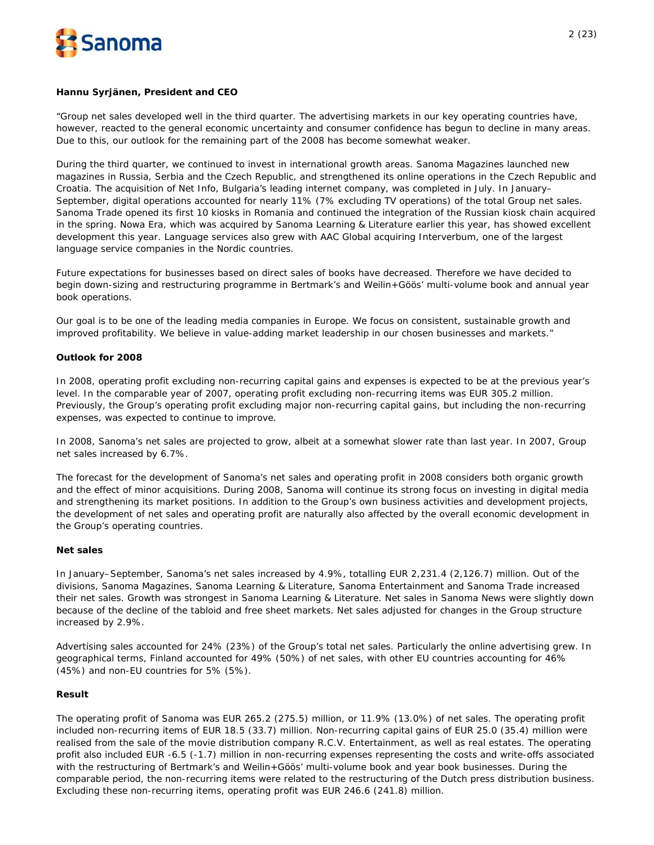

### **Hannu Syrjänen, President and CEO**

"Group net sales developed well in the third quarter. The advertising markets in our key operating countries have, however, reacted to the general economic uncertainty and consumer confidence has begun to decline in many areas. Due to this, our outlook for the remaining part of the 2008 has become somewhat weaker.

During the third quarter, we continued to invest in international growth areas. Sanoma Magazines launched new magazines in Russia, Serbia and the Czech Republic, and strengthened its online operations in the Czech Republic and Croatia. The acquisition of Net Info, Bulgaria's leading internet company, was completed in July. In January– September, digital operations accounted for nearly 11% (7% excluding TV operations) of the total Group net sales. Sanoma Trade opened its first 10 kiosks in Romania and continued the integration of the Russian kiosk chain acquired in the spring. Nowa Era, which was acquired by Sanoma Learning & Literature earlier this year, has showed excellent development this year. Language services also grew with AAC Global acquiring Interverbum, one of the largest language service companies in the Nordic countries.

Future expectations for businesses based on direct sales of books have decreased. Therefore we have decided to begin down-sizing and restructuring programme in Bertmark's and Weilin+Göös' multi-volume book and annual year book operations.

Our goal is to be one of the leading media companies in Europe. We focus on consistent, sustainable growth and improved profitability. We believe in value-adding market leadership in our chosen businesses and markets."

# **Outlook for 2008**

In 2008, operating profit excluding non-recurring capital gains and expenses is expected to be at the previous year's level. In the comparable year of 2007, operating profit excluding non-recurring items was EUR 305.2 million. Previously, the Group's operating profit excluding major non-recurring capital gains, but including the non-recurring expenses, was expected to continue to improve.

In 2008, Sanoma's net sales are projected to grow, albeit at a somewhat slower rate than last year. In 2007, Group net sales increased by 6.7%.

The forecast for the development of Sanoma's net sales and operating profit in 2008 considers both organic growth and the effect of minor acquisitions. During 2008, Sanoma will continue its strong focus on investing in digital media and strengthening its market positions. In addition to the Group's own business activities and development projects, the development of net sales and operating profit are naturally also affected by the overall economic development in the Group's operating countries.

#### **Net sales**

In January–September, Sanoma's net sales increased by 4.9%, totalling EUR 2,231.4 (2,126.7) million. Out of the divisions, Sanoma Magazines, Sanoma Learning & Literature, Sanoma Entertainment and Sanoma Trade increased their net sales. Growth was strongest in Sanoma Learning & Literature. Net sales in Sanoma News were slightly down because of the decline of the tabloid and free sheet markets. Net sales adjusted for changes in the Group structure increased by 2.9%.

Advertising sales accounted for 24% (23%) of the Group's total net sales. Particularly the online advertising grew. In geographical terms, Finland accounted for 49% (50%) of net sales, with other EU countries accounting for 46% (45%) and non-EU countries for 5% (5%).

# **Result**

The operating profit of Sanoma was EUR 265.2 (275.5) million, or 11.9% (13.0%) of net sales. The operating profit included non-recurring items of EUR 18.5 (33.7) million. Non-recurring capital gains of EUR 25.0 (35.4) million were realised from the sale of the movie distribution company R.C.V. Entertainment, as well as real estates. The operating profit also included EUR -6.5 (-1.7) million in non-recurring expenses representing the costs and write-offs associated with the restructuring of Bertmark's and Weilin+Göös' multi-volume book and year book businesses. During the comparable period, the non-recurring items were related to the restructuring of the Dutch press distribution business. Excluding these non-recurring items, operating profit was EUR 246.6 (241.8) million.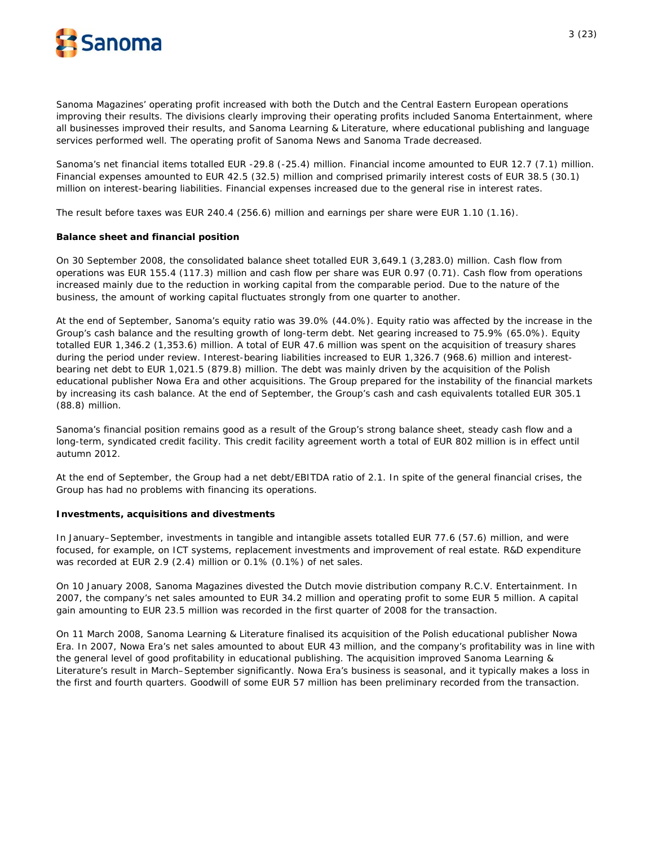

Sanoma Magazines' operating profit increased with both the Dutch and the Central Eastern European operations improving their results. The divisions clearly improving their operating profits included Sanoma Entertainment, where all businesses improved their results, and Sanoma Learning & Literature, where educational publishing and language services performed well. The operating profit of Sanoma News and Sanoma Trade decreased.

Sanoma's net financial items totalled EUR -29.8 (-25.4) million. Financial income amounted to EUR 12.7 (7.1) million. Financial expenses amounted to EUR 42.5 (32.5) million and comprised primarily interest costs of EUR 38.5 (30.1) million on interest-bearing liabilities. Financial expenses increased due to the general rise in interest rates.

The result before taxes was EUR 240.4 (256.6) million and earnings per share were EUR 1.10 (1.16).

# **Balance sheet and financial position**

On 30 September 2008, the consolidated balance sheet totalled EUR 3,649.1 (3,283.0) million. Cash flow from operations was EUR 155.4 (117.3) million and cash flow per share was EUR 0.97 (0.71). Cash flow from operations increased mainly due to the reduction in working capital from the comparable period. Due to the nature of the business, the amount of working capital fluctuates strongly from one quarter to another.

At the end of September, Sanoma's equity ratio was 39.0% (44.0%). Equity ratio was affected by the increase in the Group's cash balance and the resulting growth of long-term debt. Net gearing increased to 75.9% (65.0%). Equity totalled EUR 1,346.2 (1,353.6) million. A total of EUR 47.6 million was spent on the acquisition of treasury shares during the period under review. Interest-bearing liabilities increased to EUR 1,326.7 (968.6) million and interestbearing net debt to EUR 1,021.5 (879.8) million. The debt was mainly driven by the acquisition of the Polish educational publisher Nowa Era and other acquisitions. The Group prepared for the instability of the financial markets by increasing its cash balance. At the end of September, the Group's cash and cash equivalents totalled EUR 305.1 (88.8) million.

Sanoma's financial position remains good as a result of the Group's strong balance sheet, steady cash flow and a long-term, syndicated credit facility. This credit facility agreement worth a total of EUR 802 million is in effect until autumn 2012.

At the end of September, the Group had a net debt/EBITDA ratio of 2.1. In spite of the general financial crises, the Group has had no problems with financing its operations.

# **Investments, acquisitions and divestments**

In January–September, investments in tangible and intangible assets totalled EUR 77.6 (57.6) million, and were focused, for example, on ICT systems, replacement investments and improvement of real estate. R&D expenditure was recorded at EUR 2.9 (2.4) million or 0.1% (0.1%) of net sales.

On 10 January 2008, Sanoma Magazines divested the Dutch movie distribution company R.C.V. Entertainment. In 2007, the company's net sales amounted to EUR 34.2 million and operating profit to some EUR 5 million. A capital gain amounting to EUR 23.5 million was recorded in the first quarter of 2008 for the transaction.

On 11 March 2008, Sanoma Learning & Literature finalised its acquisition of the Polish educational publisher Nowa Era. In 2007, Nowa Era's net sales amounted to about EUR 43 million, and the company's profitability was in line with the general level of good profitability in educational publishing. The acquisition improved Sanoma Learning & Literature's result in March–September significantly. Nowa Era's business is seasonal, and it typically makes a loss in the first and fourth quarters. Goodwill of some EUR 57 million has been preliminary recorded from the transaction.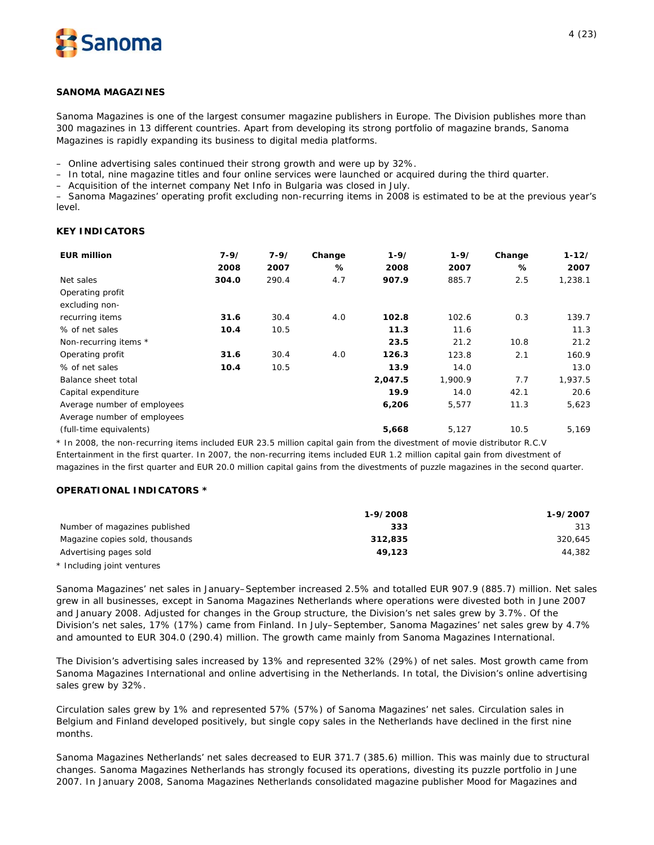

### **SANOMA MAGAZINES**

*Sanoma Magazines is one of the largest consumer magazine publishers in Europe. The Division publishes more than 300 magazines in 13 different countries. Apart from developing its strong portfolio of magazine brands, Sanoma Magazines is rapidly expanding its business to digital media platforms.*

– Online advertising sales continued their strong growth and were up by 32%.

– In total, nine magazine titles and four online services were launched or acquired during the third quarter.

– Acquisition of the internet company Net Info in Bulgaria was closed in July.

– Sanoma Magazines' operating profit excluding non-recurring items in 2008 is estimated to be at the previous year's level.

### **KEY INDICATORS**

| <b>EUR million</b>          | $7 - 9/$ | $7 - 9/$ | Change | $1 - 9/$ | $1 - 9/$ | Change | $1 - 12/$ |
|-----------------------------|----------|----------|--------|----------|----------|--------|-----------|
|                             | 2008     | 2007     | %      | 2008     | 2007     | %      | 2007      |
| Net sales                   | 304.0    | 290.4    | 4.7    | 907.9    | 885.7    | 2.5    | 1,238.1   |
| Operating profit            |          |          |        |          |          |        |           |
| excluding non-              |          |          |        |          |          |        |           |
| recurring items             | 31.6     | 30.4     | 4.0    | 102.8    | 102.6    | 0.3    | 139.7     |
| % of net sales              | 10.4     | 10.5     |        | 11.3     | 11.6     |        | 11.3      |
| Non-recurring items *       |          |          |        | 23.5     | 21.2     | 10.8   | 21.2      |
| Operating profit            | 31.6     | 30.4     | 4.0    | 126.3    | 123.8    | 2.1    | 160.9     |
| % of net sales              | 10.4     | 10.5     |        | 13.9     | 14.0     |        | 13.0      |
| Balance sheet total         |          |          |        | 2,047.5  | 1,900.9  | 7.7    | 1,937.5   |
| Capital expenditure         |          |          |        | 19.9     | 14.0     | 42.1   | 20.6      |
| Average number of employees |          |          |        | 6,206    | 5,577    | 11.3   | 5,623     |
| Average number of employees |          |          |        |          |          |        |           |
| (full-time equivalents)     |          |          |        | 5,668    | 5,127    | 10.5   | 5,169     |

\* In 2008, the non-recurring items included EUR 23.5 million capital gain from the divestment of movie distributor R.C.V Entertainment in the first quarter. In 2007, the non-recurring items included EUR 1.2 million capital gain from divestment of magazines in the first quarter and EUR 20.0 million capital gains from the divestments of puzzle magazines in the second quarter.

# **OPERATIONAL INDICATORS \***

|                                 | 1-9/2008 | 1-9/2007 |
|---------------------------------|----------|----------|
| Number of magazines published   | 333      | 313      |
| Magazine copies sold, thousands | 312.835  | 320.645  |
| Advertising pages sold          | 49.123   | 44,382   |
| * Including joint ventures      |          |          |

Sanoma Magazines' net sales in January–September increased 2.5% and totalled EUR 907.9 (885.7) million. Net sales grew in all businesses, except in Sanoma Magazines Netherlands where operations were divested both in June 2007 and January 2008. Adjusted for changes in the Group structure, the Division's net sales grew by 3.7%. Of the Division's net sales, 17% (17%) came from Finland. In July–September, Sanoma Magazines' net sales grew by 4.7% and amounted to EUR 304.0 (290.4) million. The growth came mainly from Sanoma Magazines International.

The Division's advertising sales increased by 13% and represented 32% (29%) of net sales. Most growth came from Sanoma Magazines International and online advertising in the Netherlands. In total, the Division's online advertising sales grew by 32%.

Circulation sales grew by 1% and represented 57% (57%) of Sanoma Magazines' net sales. Circulation sales in Belgium and Finland developed positively, but single copy sales in the Netherlands have declined in the first nine months.

Sanoma Magazines Netherlands' net sales decreased to EUR 371.7 (385.6) million. This was mainly due to structural changes. Sanoma Magazines Netherlands has strongly focused its operations, divesting its puzzle portfolio in June 2007. In January 2008, Sanoma Magazines Netherlands consolidated magazine publisher Mood for Magazines and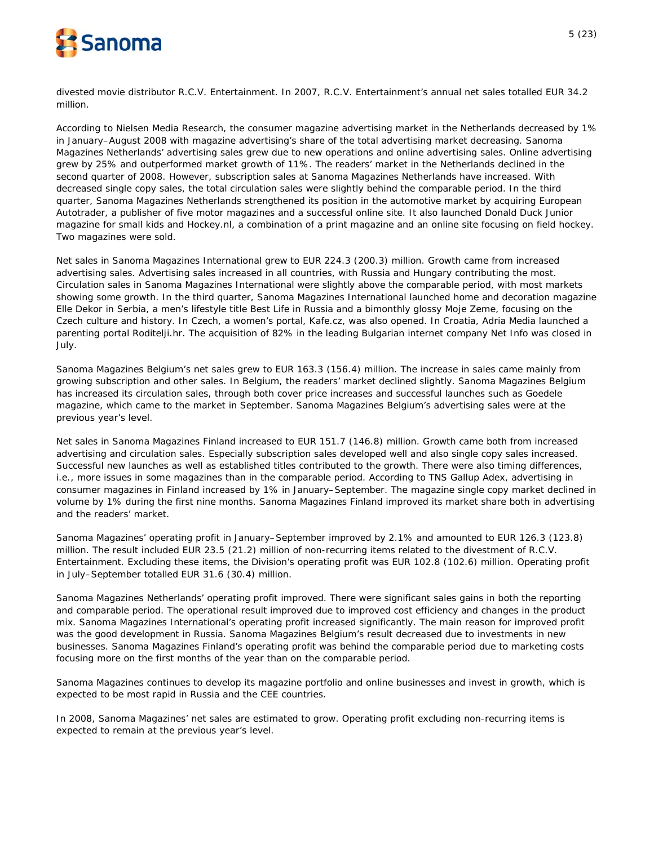

divested movie distributor R.C.V. Entertainment. In 2007, R.C.V. Entertainment's annual net sales totalled EUR 34.2 million.

According to Nielsen Media Research, the consumer magazine advertising market in the Netherlands decreased by 1% in January–August 2008 with magazine advertising's share of the total advertising market decreasing. Sanoma Magazines Netherlands' advertising sales grew due to new operations and online advertising sales. Online advertising grew by 25% and outperformed market growth of 11%. The readers' market in the Netherlands declined in the second quarter of 2008. However, subscription sales at Sanoma Magazines Netherlands have increased. With decreased single copy sales, the total circulation sales were slightly behind the comparable period. In the third quarter, Sanoma Magazines Netherlands strengthened its position in the automotive market by acquiring European Autotrader, a publisher of five motor magazines and a successful online site. It also launched Donald Duck Junior magazine for small kids and Hockey.nl, a combination of a print magazine and an online site focusing on field hockey. Two magazines were sold.

Net sales in Sanoma Magazines International grew to EUR 224.3 (200.3) million. Growth came from increased advertising sales. Advertising sales increased in all countries, with Russia and Hungary contributing the most. Circulation sales in Sanoma Magazines International were slightly above the comparable period, with most markets showing some growth. In the third quarter, Sanoma Magazines International launched home and decoration magazine Elle Dekor in Serbia, a men's lifestyle title Best Life in Russia and a bimonthly glossy Moje Zeme, focusing on the Czech culture and history. In Czech, a women's portal, Kafe.cz, was also opened. In Croatia, Adria Media launched a parenting portal Roditelji.hr. The acquisition of 82% in the leading Bulgarian internet company Net Info was closed in July.

Sanoma Magazines Belgium's net sales grew to EUR 163.3 (156.4) million. The increase in sales came mainly from growing subscription and other sales. In Belgium, the readers' market declined slightly. Sanoma Magazines Belgium has increased its circulation sales, through both cover price increases and successful launches such as Goedele magazine, which came to the market in September. Sanoma Magazines Belgium's advertising sales were at the previous year's level.

Net sales in Sanoma Magazines Finland increased to EUR 151.7 (146.8) million. Growth came both from increased advertising and circulation sales. Especially subscription sales developed well and also single copy sales increased. Successful new launches as well as established titles contributed to the growth. There were also timing differences, i.e., more issues in some magazines than in the comparable period. According to TNS Gallup Adex, advertising in consumer magazines in Finland increased by 1% in January–September. The magazine single copy market declined in volume by 1% during the first nine months. Sanoma Magazines Finland improved its market share both in advertising and the readers' market.

Sanoma Magazines' operating profit in January–September improved by 2.1% and amounted to EUR 126.3 (123.8) million. The result included EUR 23.5 (21.2) million of non-recurring items related to the divestment of R.C.V. Entertainment. Excluding these items, the Division's operating profit was EUR 102.8 (102.6) million. Operating profit in July–September totalled EUR 31.6 (30.4) million.

Sanoma Magazines Netherlands' operating profit improved. There were significant sales gains in both the reporting and comparable period. The operational result improved due to improved cost efficiency and changes in the product mix. Sanoma Magazines International's operating profit increased significantly. The main reason for improved profit was the good development in Russia. Sanoma Magazines Belgium's result decreased due to investments in new businesses. Sanoma Magazines Finland's operating profit was behind the comparable period due to marketing costs focusing more on the first months of the year than on the comparable period.

Sanoma Magazines continues to develop its magazine portfolio and online businesses and invest in growth, which is expected to be most rapid in Russia and the CEE countries.

In 2008, Sanoma Magazines' net sales are estimated to grow. Operating profit excluding non-recurring items is expected to remain at the previous year's level.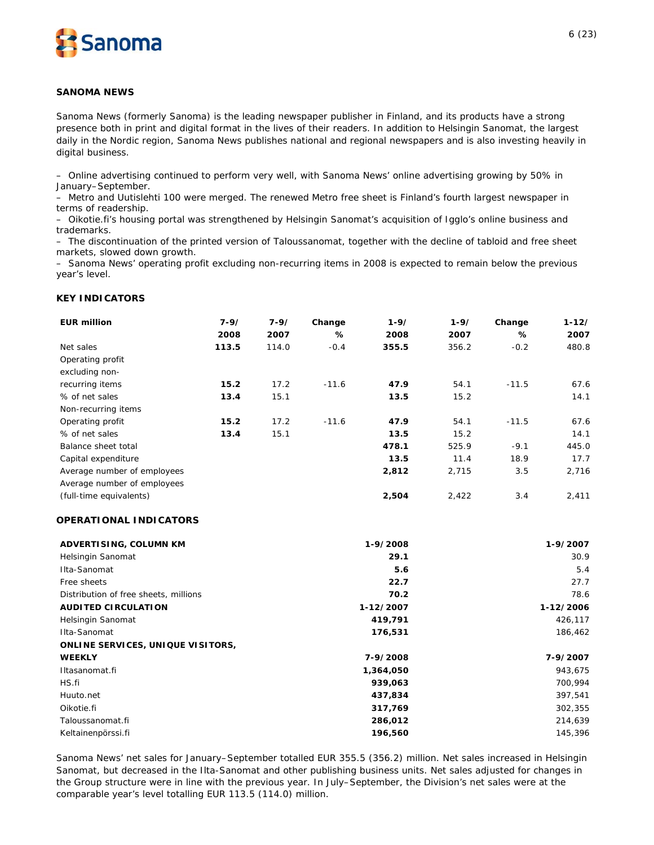

### **SANOMA NEWS**

*Sanoma News (formerly Sanoma) is the leading newspaper publisher in Finland, and its products have a strong presence both in print and digital format in the lives of their readers. In addition to Helsingin Sanomat, the largest daily in the Nordic region, Sanoma News publishes national and regional newspapers and is also investing heavily in digital business.* 

– Online advertising continued to perform very well, with Sanoma News' online advertising growing by 50% in January–September.

– Metro and Uutislehti 100 were merged. The renewed Metro free sheet is Finland's fourth largest newspaper in terms of readership.

– Oikotie.fi's housing portal was strengthened by Helsingin Sanomat's acquisition of Igglo's online business and trademarks.

– The discontinuation of the printed version of Taloussanomat, together with the decline of tabloid and free sheet markets, slowed down growth.

– Sanoma News' operating profit excluding non-recurring items in 2008 is expected to remain below the previous year's level.

#### **KEY INDICATORS**

| <b>EUR million</b>          | $7 - 9/$ | $7 - 9/$ | Change  | $1 - 9/$ | $1 - 9/$ | Change  | $1 - 12/$ |
|-----------------------------|----------|----------|---------|----------|----------|---------|-----------|
|                             | 2008     | 2007     | ℅       | 2008     | 2007     | %       | 2007      |
| Net sales                   | 113.5    | 114.0    | $-0.4$  | 355.5    | 356.2    | $-0.2$  | 480.8     |
| Operating profit            |          |          |         |          |          |         |           |
| excluding non-              |          |          |         |          |          |         |           |
| recurring items             | 15.2     | 17.2     | $-11.6$ | 47.9     | 54.1     | $-11.5$ | 67.6      |
| % of net sales              | 13.4     | 15.1     |         | 13.5     | 15.2     |         | 14.1      |
| Non-recurring items         |          |          |         |          |          |         |           |
| Operating profit            | 15.2     | 17.2     | $-11.6$ | 47.9     | 54.1     | $-11.5$ | 67.6      |
| % of net sales              | 13.4     | 15.1     |         | 13.5     | 15.2     |         | 14.1      |
| Balance sheet total         |          |          |         | 478.1    | 525.9    | $-9.1$  | 445.0     |
| Capital expenditure         |          |          |         | 13.5     | 11.4     | 18.9    | 17.7      |
| Average number of employees |          |          |         | 2,812    | 2,715    | 3.5     | 2,716     |
| Average number of employees |          |          |         |          |          |         |           |
| (full-time equivalents)     |          |          |         | 2,504    | 2,422    | 3.4     | 2,411     |

# **OPERATIONAL INDICATORS**

| ADVERTISING, COLUMN KM                   | 1-9/2008  | 1-9/2007  |
|------------------------------------------|-----------|-----------|
| Helsingin Sanomat                        | 29.1      | 30.9      |
| Ilta-Sanomat                             | 5.6       | 5.4       |
| Free sheets                              | 22.7      | 27.7      |
| Distribution of free sheets, millions    | 70.2      | 78.6      |
| <b>AUDITED CIRCULATION</b>               | 1-12/2007 | 1-12/2006 |
| Helsingin Sanomat                        | 419,791   | 426,117   |
| Ilta-Sanomat                             | 176,531   | 186,462   |
| <b>ONLINE SERVICES, UNIQUE VISITORS,</b> |           |           |
| <b>WEEKLY</b>                            | 7-9/2008  | 7-9/2007  |
| Iltasanomat.fi                           | 1,364,050 | 943,675   |
| HS.fi                                    | 939,063   | 700,994   |
| Huuto.net                                | 437,834   | 397,541   |
| Oikotie.fi                               | 317,769   | 302,355   |
| Taloussanomat.fi                         | 286,012   | 214,639   |
| Keltainenpörssi.fi                       | 196,560   | 145,396   |

Sanoma News' net sales for January–September totalled EUR 355.5 (356.2) million. Net sales increased in Helsingin Sanomat, but decreased in the Ilta-Sanomat and other publishing business units. Net sales adjusted for changes in the Group structure were in line with the previous year. In July–September, the Division's net sales were at the comparable year's level totalling EUR 113.5 (114.0) million.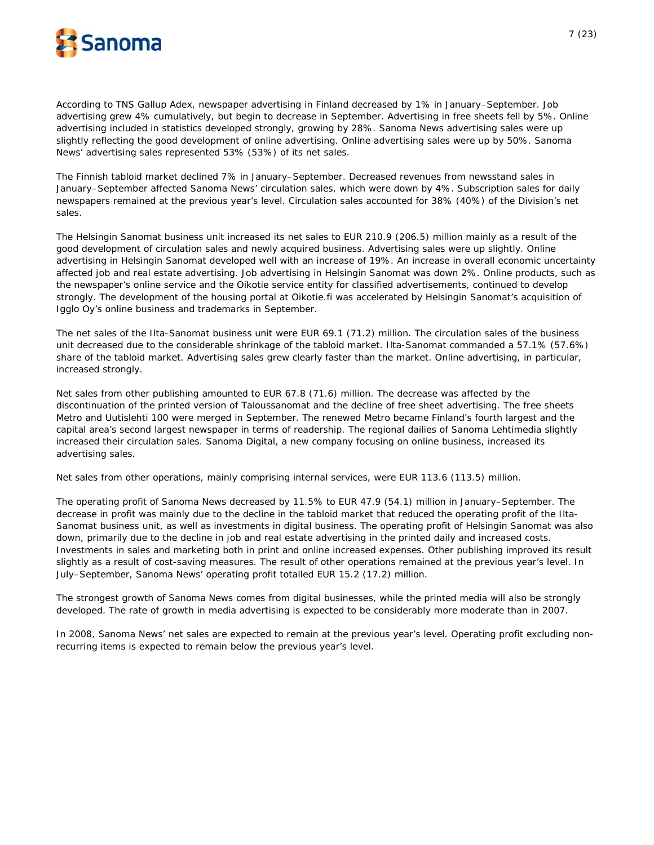

According to TNS Gallup Adex, newspaper advertising in Finland decreased by 1% in January–September. Job advertising grew 4% cumulatively, but begin to decrease in September. Advertising in free sheets fell by 5%. Online advertising included in statistics developed strongly, growing by 28%. Sanoma News advertising sales were up slightly reflecting the good development of online advertising. Online advertising sales were up by 50%. Sanoma News' advertising sales represented 53% (53%) of its net sales.

The Finnish tabloid market declined 7% in January–September. Decreased revenues from newsstand sales in January–September affected Sanoma News' circulation sales, which were down by 4%. Subscription sales for daily newspapers remained at the previous year's level. Circulation sales accounted for 38% (40%) of the Division's net sales.

The Helsingin Sanomat business unit increased its net sales to EUR 210.9 (206.5) million mainly as a result of the good development of circulation sales and newly acquired business. Advertising sales were up slightly. Online advertising in Helsingin Sanomat developed well with an increase of 19%. An increase in overall economic uncertainty affected job and real estate advertising. Job advertising in Helsingin Sanomat was down 2%. Online products, such as the newspaper's online service and the Oikotie service entity for classified advertisements, continued to develop strongly. The development of the housing portal at Oikotie.fi was accelerated by Helsingin Sanomat's acquisition of Igglo Oy's online business and trademarks in September.

The net sales of the Ilta-Sanomat business unit were EUR 69.1 (71.2) million. The circulation sales of the business unit decreased due to the considerable shrinkage of the tabloid market. Ilta-Sanomat commanded a 57.1% (57.6%) share of the tabloid market. Advertising sales grew clearly faster than the market. Online advertising, in particular, increased strongly.

Net sales from other publishing amounted to EUR 67.8 (71.6) million. The decrease was affected by the discontinuation of the printed version of Taloussanomat and the decline of free sheet advertising. The free sheets Metro and Uutislehti 100 were merged in September. The renewed Metro became Finland's fourth largest and the capital area's second largest newspaper in terms of readership. The regional dailies of Sanoma Lehtimedia slightly increased their circulation sales. Sanoma Digital, a new company focusing on online business, increased its advertising sales.

Net sales from other operations, mainly comprising internal services, were EUR 113.6 (113.5) million.

The operating profit of Sanoma News decreased by 11.5% to EUR 47.9 (54.1) million in January–September. The decrease in profit was mainly due to the decline in the tabloid market that reduced the operating profit of the Ilta-Sanomat business unit, as well as investments in digital business. The operating profit of Helsingin Sanomat was also down, primarily due to the decline in job and real estate advertising in the printed daily and increased costs. Investments in sales and marketing both in print and online increased expenses. Other publishing improved its result slightly as a result of cost-saving measures. The result of other operations remained at the previous year's level. In July–September, Sanoma News' operating profit totalled EUR 15.2 (17.2) million.

The strongest growth of Sanoma News comes from digital businesses, while the printed media will also be strongly developed. The rate of growth in media advertising is expected to be considerably more moderate than in 2007.

In 2008, Sanoma News' net sales are expected to remain at the previous year's level. Operating profit excluding nonrecurring items is expected to remain below the previous year's level.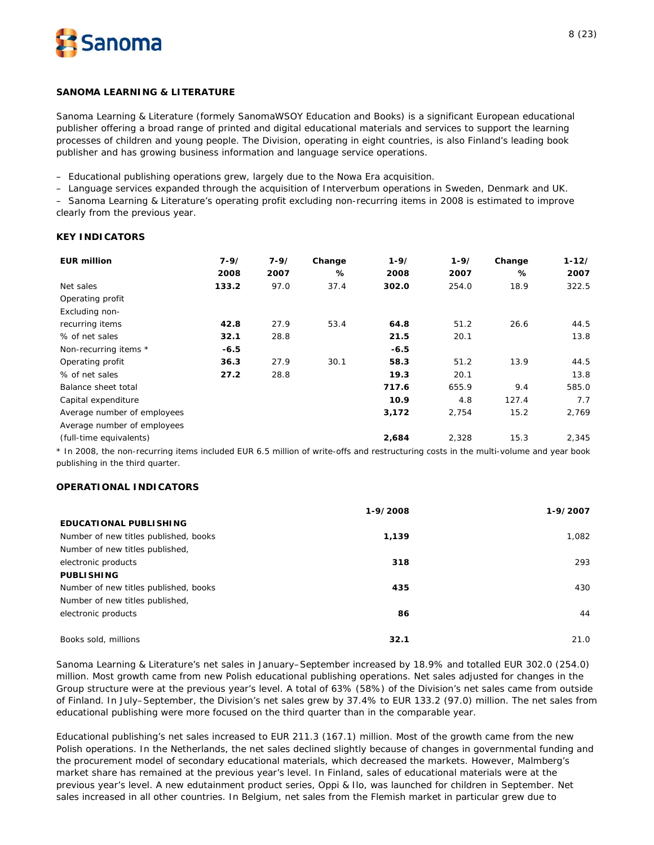

### **SANOMA LEARNING & LITERATURE**

*Sanoma Learning & Literature (formely SanomaWSOY Education and Books) is a significant European educational publisher offering a broad range of printed and digital educational materials and services to support the learning processes of children and young people. The Division, operating in eight countries, is also Finland's leading book publisher and has growing business information and language service operations.* 

– Educational publishing operations grew, largely due to the Nowa Era acquisition.

– Language services expanded through the acquisition of Interverbum operations in Sweden, Denmark and UK.

– Sanoma Learning & Literature's operating profit excluding non-recurring items in 2008 is estimated to improve clearly from the previous year.

# **KEY INDICATORS**

| <b>EUR million</b>          | 7-9/   | $7 - 9/$ | Change | $1 - 9/$ | $1 - 9/$ | Change | $1 - 12/$ |
|-----------------------------|--------|----------|--------|----------|----------|--------|-----------|
|                             | 2008   | 2007     | %      | 2008     | 2007     | ℅      | 2007      |
| Net sales                   | 133.2  | 97.0     | 37.4   | 302.0    | 254.0    | 18.9   | 322.5     |
| Operating profit            |        |          |        |          |          |        |           |
| Excluding non-              |        |          |        |          |          |        |           |
| recurring items             | 42.8   | 27.9     | 53.4   | 64.8     | 51.2     | 26.6   | 44.5      |
| % of net sales              | 32.1   | 28.8     |        | 21.5     | 20.1     |        | 13.8      |
| Non-recurring items *       | $-6.5$ |          |        | $-6.5$   |          |        |           |
| Operating profit            | 36.3   | 27.9     | 30.1   | 58.3     | 51.2     | 13.9   | 44.5      |
| % of net sales              | 27.2   | 28.8     |        | 19.3     | 20.1     |        | 13.8      |
| Balance sheet total         |        |          |        | 717.6    | 655.9    | 9.4    | 585.0     |
| Capital expenditure         |        |          |        | 10.9     | 4.8      | 127.4  | 7.7       |
| Average number of employees |        |          |        | 3,172    | 2,754    | 15.2   | 2,769     |
| Average number of employees |        |          |        |          |          |        |           |
| (full-time equivalents)     |        |          |        | 2,684    | 2,328    | 15.3   | 2,345     |

\* In 2008, the non-recurring items included EUR 6.5 million of write-offs and restructuring costs in the multi-volume and year book publishing in the third quarter.

# **OPERATIONAL INDICATORS**

|                                       | 1-9/2008 | 1-9/2007 |
|---------------------------------------|----------|----------|
| <b>EDUCATIONAL PUBLISHING</b>         |          |          |
| Number of new titles published, books | 1,139    | 1.082    |
| Number of new titles published,       |          |          |
| electronic products                   | 318      | 293      |
| <b>PUBLISHING</b>                     |          |          |
| Number of new titles published, books | 435      | 430      |
| Number of new titles published,       |          |          |
| electronic products                   | 86       | 44       |
| Books sold, millions                  | 32.1     | 21.0     |

Sanoma Learning & Literature's net sales in January–September increased by 18.9% and totalled EUR 302.0 (254.0) million. Most growth came from new Polish educational publishing operations. Net sales adjusted for changes in the Group structure were at the previous year's level. A total of 63% (58%) of the Division's net sales came from outside of Finland. In July–September, the Division's net sales grew by 37.4% to EUR 133.2 (97.0) million. The net sales from educational publishing were more focused on the third quarter than in the comparable year.

Educational publishing's net sales increased to EUR 211.3 (167.1) million. Most of the growth came from the new Polish operations. In the Netherlands, the net sales declined slightly because of changes in governmental funding and the procurement model of secondary educational materials, which decreased the markets. However, Malmberg's market share has remained at the previous year's level. In Finland, sales of educational materials were at the previous year's level. A new edutainment product series, Oppi & Ilo, was launched for children in September. Net sales increased in all other countries. In Belgium, net sales from the Flemish market in particular grew due to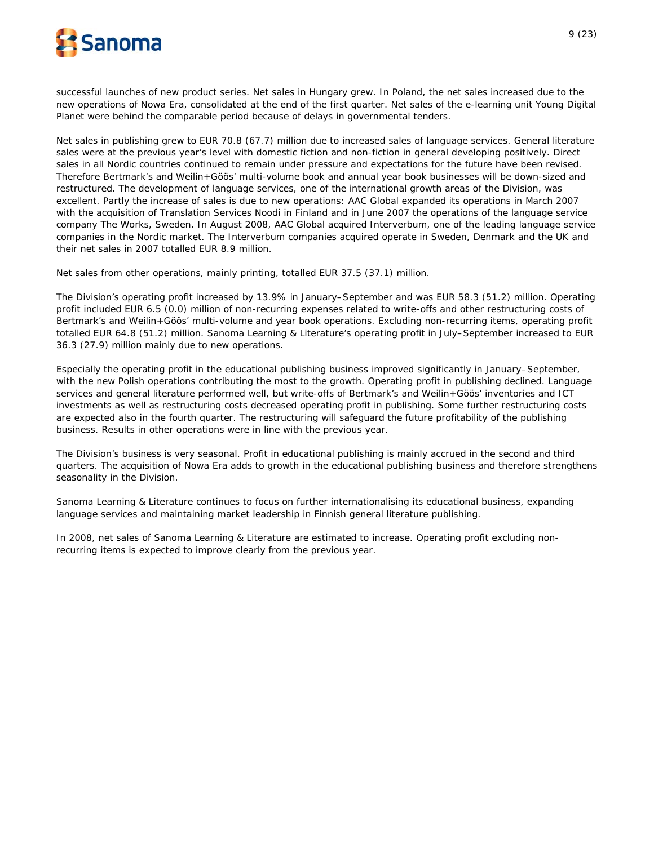

successful launches of new product series. Net sales in Hungary grew. In Poland, the net sales increased due to the new operations of Nowa Era, consolidated at the end of the first quarter. Net sales of the e-learning unit Young Digital Planet were behind the comparable period because of delays in governmental tenders.

Net sales in publishing grew to EUR 70.8 (67.7) million due to increased sales of language services. General literature sales were at the previous year's level with domestic fiction and non-fiction in general developing positively. Direct sales in all Nordic countries continued to remain under pressure and expectations for the future have been revised. Therefore Bertmark's and Weilin+Göös' multi-volume book and annual year book businesses will be down-sized and restructured. The development of language services, one of the international growth areas of the Division, was excellent. Partly the increase of sales is due to new operations: AAC Global expanded its operations in March 2007 with the acquisition of Translation Services Noodi in Finland and in June 2007 the operations of the language service company The Works, Sweden. In August 2008, AAC Global acquired Interverbum, one of the leading language service companies in the Nordic market. The Interverbum companies acquired operate in Sweden, Denmark and the UK and their net sales in 2007 totalled EUR 8.9 million.

Net sales from other operations, mainly printing, totalled EUR 37.5 (37.1) million.

The Division's operating profit increased by 13.9% in January–September and was EUR 58.3 (51.2) million. Operating profit included EUR 6.5 (0.0) million of non-recurring expenses related to write-offs and other restructuring costs of Bertmark's and Weilin+Göös' multi-volume and year book operations. Excluding non-recurring items, operating profit totalled EUR 64.8 (51.2) million. Sanoma Learning & Literature's operating profit in July–September increased to EUR 36.3 (27.9) million mainly due to new operations.

Especially the operating profit in the educational publishing business improved significantly in January–September, with the new Polish operations contributing the most to the growth. Operating profit in publishing declined. Language services and general literature performed well, but write-offs of Bertmark's and Weilin+Göös' inventories and ICT investments as well as restructuring costs decreased operating profit in publishing. Some further restructuring costs are expected also in the fourth quarter. The restructuring will safeguard the future profitability of the publishing business. Results in other operations were in line with the previous year.

The Division's business is very seasonal. Profit in educational publishing is mainly accrued in the second and third quarters. The acquisition of Nowa Era adds to growth in the educational publishing business and therefore strengthens seasonality in the Division.

Sanoma Learning & Literature continues to focus on further internationalising its educational business, expanding language services and maintaining market leadership in Finnish general literature publishing.

In 2008, net sales of Sanoma Learning & Literature are estimated to increase. Operating profit excluding nonrecurring items is expected to improve clearly from the previous year.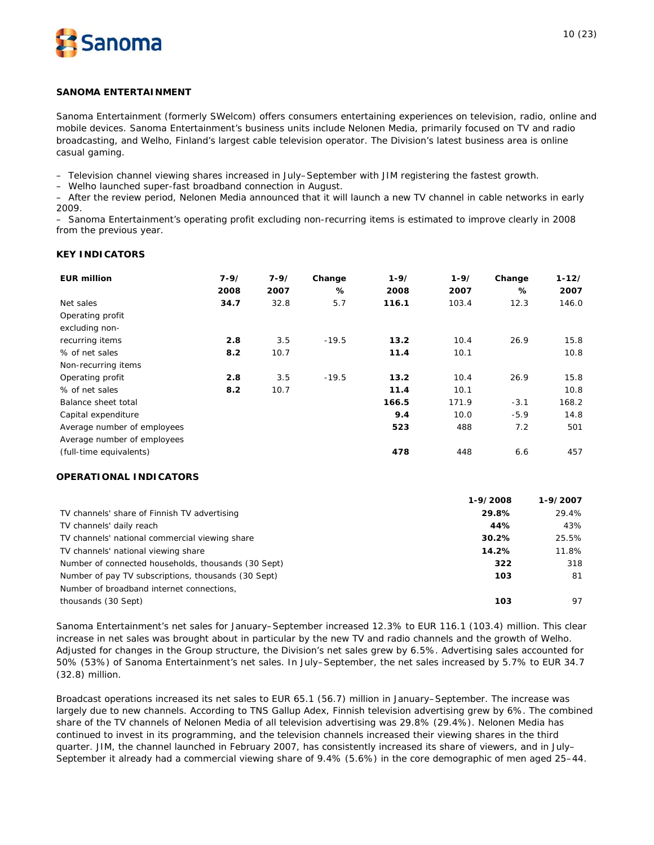

### **SANOMA ENTERTAINMENT**

*Sanoma Entertainment (formerly SWelcom) offers consumers entertaining experiences on television, radio, online and mobile devices. Sanoma Entertainment's business units include Nelonen Media, primarily focused on TV and radio broadcasting, and Welho, Finland's largest cable television operator. The Division's latest business area is online casual gaming.*

– Television channel viewing shares increased in July–September with JIM registering the fastest growth.

– Welho launched super-fast broadband connection in August.

– After the review period, Nelonen Media announced that it will launch a new TV channel in cable networks in early 2009.

– Sanoma Entertainment's operating profit excluding non-recurring items is estimated to improve clearly in 2008 from the previous year.

# **KEY INDICATORS**

| <b>EUR million</b>          | $7 - 9/$<br>2008 | $7 - 9/$<br>2007 | Change<br>℅ | $1 - 9/$<br>2008 | $1 - 9/$<br>2007 | Change<br>℅ | $1 - 12/$<br>2007 |
|-----------------------------|------------------|------------------|-------------|------------------|------------------|-------------|-------------------|
| Net sales                   | 34.7             | 32.8             | 5.7         | 116.1            | 103.4            | 12.3        | 146.0             |
| Operating profit            |                  |                  |             |                  |                  |             |                   |
| excluding non-              |                  |                  |             |                  |                  |             |                   |
| recurring items             | 2.8              | 3.5              | $-19.5$     | 13.2             | 10.4             | 26.9        | 15.8              |
| % of net sales              | 8.2              | 10.7             |             | 11.4             | 10.1             |             | 10.8              |
| Non-recurring items         |                  |                  |             |                  |                  |             |                   |
| Operating profit            | 2.8              | 3.5              | $-19.5$     | 13.2             | 10.4             | 26.9        | 15.8              |
| % of net sales              | 8.2              | 10.7             |             | 11.4             | 10.1             |             | 10.8              |
| Balance sheet total         |                  |                  |             | 166.5            | 171.9            | $-3.1$      | 168.2             |
| Capital expenditure         |                  |                  |             | 9.4              | 10.0             | $-5.9$      | 14.8              |
| Average number of employees |                  |                  |             | 523              | 488              | 7.2         | 501               |
| Average number of employees |                  |                  |             |                  |                  |             |                   |
| (full-time equivalents)     |                  |                  |             | 478              | 448              | 6.6         | 457               |

# **OPERATIONAL INDICATORS**

|                                                     | 1-9/2008 | 1-9/2007 |
|-----------------------------------------------------|----------|----------|
| TV channels' share of Finnish TV advertising        | 29.8%    | 29.4%    |
| TV channels' daily reach                            | 44%      | 43%      |
| TV channels' national commercial viewing share      | 30.2%    | 25.5%    |
| TV channels' national viewing share                 | 14.2%    | 11.8%    |
| Number of connected households, thousands (30 Sept) | 322      | 318      |
| Number of pay TV subscriptions, thousands (30 Sept) | 103      | 81       |
| Number of broadband internet connections,           |          |          |
| thousands (30 Sept)                                 | 103      | 97       |

Sanoma Entertainment's net sales for January–September increased 12.3% to EUR 116.1 (103.4) million. This clear increase in net sales was brought about in particular by the new TV and radio channels and the growth of Welho. Adjusted for changes in the Group structure, the Division's net sales grew by 6.5%. Advertising sales accounted for 50% (53%) of Sanoma Entertainment's net sales. In July–September, the net sales increased by 5.7% to EUR 34.7 (32.8) million.

Broadcast operations increased its net sales to EUR 65.1 (56.7) million in January–September. The increase was largely due to new channels. According to TNS Gallup Adex, Finnish television advertising grew by 6%. The combined share of the TV channels of Nelonen Media of all television advertising was 29.8% (29.4%). Nelonen Media has continued to invest in its programming, and the television channels increased their viewing shares in the third quarter. JIM, the channel launched in February 2007, has consistently increased its share of viewers, and in July– September it already had a commercial viewing share of 9.4% (5.6%) in the core demographic of men aged 25–44.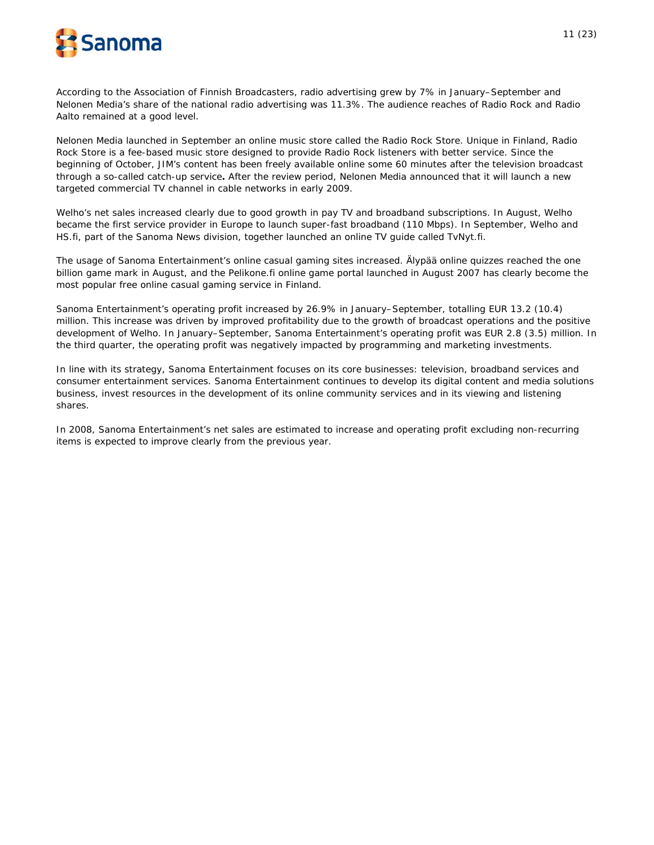

According to the Association of Finnish Broadcasters, radio advertising grew by 7% in January–September and Nelonen Media's share of the national radio advertising was 11.3%. The audience reaches of Radio Rock and Radio Aalto remained at a good level.

Nelonen Media launched in September an online music store called the Radio Rock Store. Unique in Finland, Radio Rock Store is a fee-based music store designed to provide Radio Rock listeners with better service. Since the beginning of October, JIM's content has been freely available online some 60 minutes after the television broadcast through a so-called catch-up service**.** After the review period, Nelonen Media announced that it will launch a new targeted commercial TV channel in cable networks in early 2009.

Welho's net sales increased clearly due to good growth in pay TV and broadband subscriptions. In August, Welho became the first service provider in Europe to launch super-fast broadband (110 Mbps). In September, Welho and HS.fi, part of the Sanoma News division, together launched an online TV guide called TvNyt.fi.

The usage of Sanoma Entertainment's online casual gaming sites increased. Älypää online quizzes reached the one billion game mark in August, and the Pelikone.fi online game portal launched in August 2007 has clearly become the most popular free online casual gaming service in Finland.

Sanoma Entertainment's operating profit increased by 26.9% in January–September, totalling EUR 13.2 (10.4) million. This increase was driven by improved profitability due to the growth of broadcast operations and the positive development of Welho. In January–September, Sanoma Entertainment's operating profit was EUR 2.8 (3.5) million. In the third quarter, the operating profit was negatively impacted by programming and marketing investments.

In line with its strategy, Sanoma Entertainment focuses on its core businesses: television, broadband services and consumer entertainment services. Sanoma Entertainment continues to develop its digital content and media solutions business, invest resources in the development of its online community services and in its viewing and listening shares.

In 2008, Sanoma Entertainment's net sales are estimated to increase and operating profit excluding non-recurring items is expected to improve clearly from the previous year.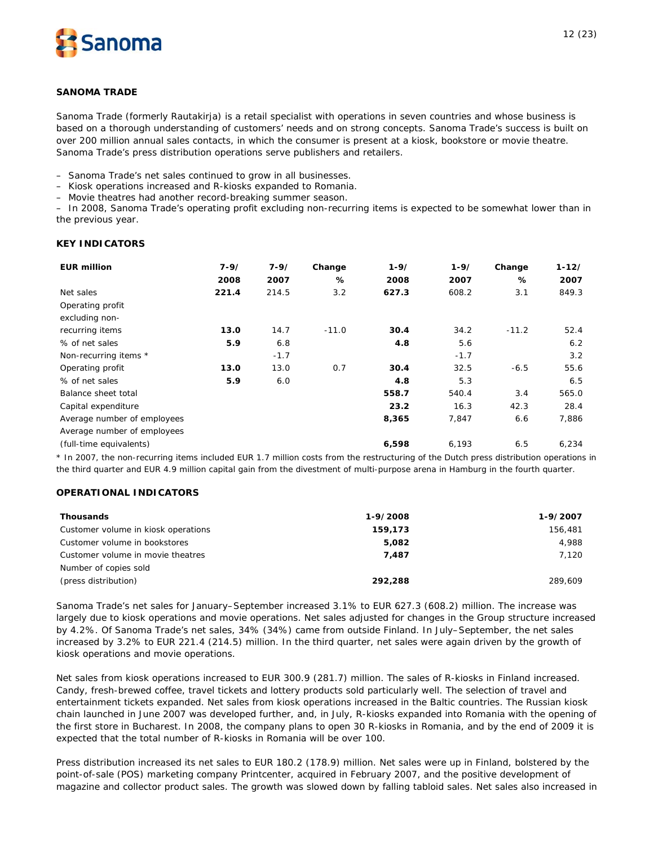

### **SANOMA TRADE**

*Sanoma Trade (formerly Rautakirja) is a retail specialist with operations in seven countries and whose business is based on a thorough understanding of customers' needs and on strong concepts. Sanoma Trade's success is built on over 200 million annual sales contacts, in which the consumer is present at a kiosk, bookstore or movie theatre. Sanoma Trade's press distribution operations serve publishers and retailers.*

– Sanoma Trade's net sales continued to grow in all businesses.

– Kiosk operations increased and R-kiosks expanded to Romania.

– Movie theatres had another record-breaking summer season.

– In 2008, Sanoma Trade's operating profit excluding non-recurring items is expected to be somewhat lower than in the previous year.

### **KEY INDICATORS**

| <b>EUR million</b>          | $7 - 9/$<br>2008 | $7 - 9/$<br>2007 | Change<br>% | $1 - 9/$<br>2008 | $1 - 9/$<br>2007 | Change<br>℅ | $1 - 12/$<br>2007 |
|-----------------------------|------------------|------------------|-------------|------------------|------------------|-------------|-------------------|
| Net sales                   | 221.4            | 214.5            | 3.2         | 627.3            | 608.2            | 3.1         | 849.3             |
| Operating profit            |                  |                  |             |                  |                  |             |                   |
| excluding non-              |                  |                  |             |                  |                  |             |                   |
| recurring items             | 13.0             | 14.7             | $-11.0$     | 30.4             | 34.2             | $-11.2$     | 52.4              |
| % of net sales              | 5.9              | 6.8              |             | 4.8              | 5.6              |             | 6.2               |
| Non-recurring items *       |                  | $-1.7$           |             |                  | $-1.7$           |             | 3.2               |
| Operating profit            | 13.0             | 13.0             | 0.7         | 30.4             | 32.5             | $-6.5$      | 55.6              |
| % of net sales              | 5.9              | 6.0              |             | 4.8              | 5.3              |             | 6.5               |
| Balance sheet total         |                  |                  |             | 558.7            | 540.4            | 3.4         | 565.0             |
| Capital expenditure         |                  |                  |             | 23.2             | 16.3             | 42.3        | 28.4              |
| Average number of employees |                  |                  |             | 8,365            | 7,847            | 6.6         | 7,886             |
| Average number of employees |                  |                  |             |                  |                  |             |                   |
| (full-time equivalents)     |                  |                  |             | 6,598            | 6,193            | 6.5         | 6,234             |

\* In 2007, the non-recurring items included EUR 1.7 million costs from the restructuring of the Dutch press distribution operations in the third quarter and EUR 4.9 million capital gain from the divestment of multi-purpose arena in Hamburg in the fourth quarter.

# **OPERATIONAL INDICATORS**

| <b>Thousands</b>                    | 1-9/2008 | 1-9/2007 |
|-------------------------------------|----------|----------|
| Customer volume in kiosk operations | 159,173  | 156,481  |
| Customer volume in bookstores       | 5,082    | 4.988    |
| Customer volume in movie theatres   | 7.487    | 7.120    |
| Number of copies sold               |          |          |
| (press distribution)                | 292,288  | 289,609  |

Sanoma Trade's net sales for January–September increased 3.1% to EUR 627.3 (608.2) million. The increase was largely due to kiosk operations and movie operations. Net sales adjusted for changes in the Group structure increased by 4.2%. Of Sanoma Trade's net sales, 34% (34%) came from outside Finland. In July–September, the net sales increased by 3.2% to EUR 221.4 (214.5) million. In the third quarter, net sales were again driven by the growth of kiosk operations and movie operations.

Net sales from kiosk operations increased to EUR 300.9 (281.7) million. The sales of R-kiosks in Finland increased. Candy, fresh-brewed coffee, travel tickets and lottery products sold particularly well. The selection of travel and entertainment tickets expanded. Net sales from kiosk operations increased in the Baltic countries. The Russian kiosk chain launched in June 2007 was developed further, and, in July, R-kiosks expanded into Romania with the opening of the first store in Bucharest. In 2008, the company plans to open 30 R-kiosks in Romania, and by the end of 2009 it is expected that the total number of R-kiosks in Romania will be over 100.

Press distribution increased its net sales to EUR 180.2 (178.9) million. Net sales were up in Finland, bolstered by the point-of-sale (POS) marketing company Printcenter, acquired in February 2007, and the positive development of magazine and collector product sales. The growth was slowed down by falling tabloid sales. Net sales also increased in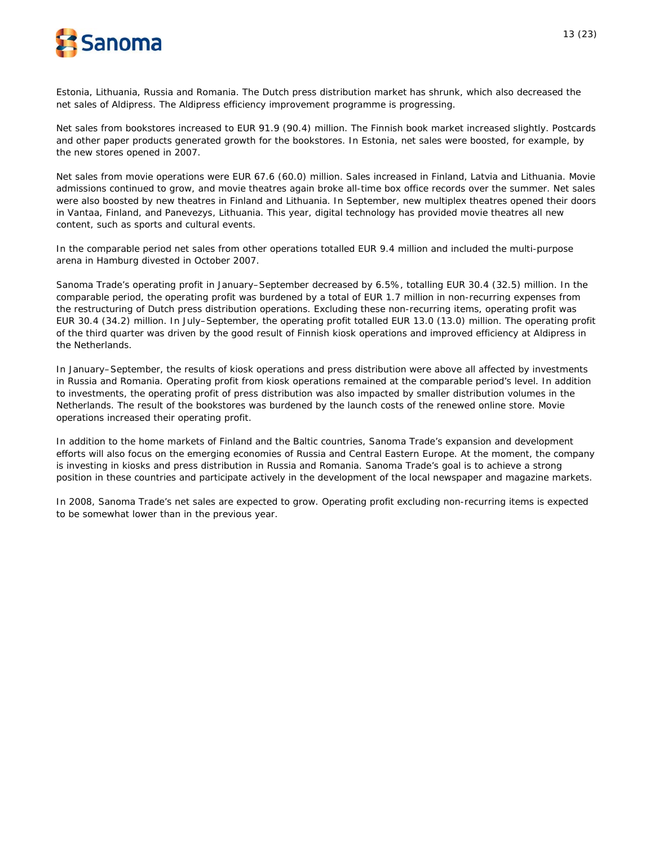

Estonia, Lithuania, Russia and Romania. The Dutch press distribution market has shrunk, which also decreased the net sales of Aldipress. The Aldipress efficiency improvement programme is progressing.

Net sales from bookstores increased to EUR 91.9 (90.4) million. The Finnish book market increased slightly. Postcards and other paper products generated growth for the bookstores. In Estonia, net sales were boosted, for example, by the new stores opened in 2007.

Net sales from movie operations were EUR 67.6 (60.0) million. Sales increased in Finland, Latvia and Lithuania. Movie admissions continued to grow, and movie theatres again broke all-time box office records over the summer. Net sales were also boosted by new theatres in Finland and Lithuania. In September, new multiplex theatres opened their doors in Vantaa, Finland, and Panevezys, Lithuania. This year, digital technology has provided movie theatres all new content, such as sports and cultural events.

In the comparable period net sales from other operations totalled EUR 9.4 million and included the multi-purpose arena in Hamburg divested in October 2007.

Sanoma Trade's operating profit in January–September decreased by 6.5%, totalling EUR 30.4 (32.5) million. In the comparable period, the operating profit was burdened by a total of EUR 1.7 million in non-recurring expenses from the restructuring of Dutch press distribution operations. Excluding these non-recurring items, operating profit was EUR 30.4 (34.2) million. In July–September, the operating profit totalled EUR 13.0 (13.0) million. The operating profit of the third quarter was driven by the good result of Finnish kiosk operations and improved efficiency at Aldipress in the Netherlands.

In January–September, the results of kiosk operations and press distribution were above all affected by investments in Russia and Romania. Operating profit from kiosk operations remained at the comparable period's level. In addition to investments, the operating profit of press distribution was also impacted by smaller distribution volumes in the Netherlands. The result of the bookstores was burdened by the launch costs of the renewed online store. Movie operations increased their operating profit.

In addition to the home markets of Finland and the Baltic countries, Sanoma Trade's expansion and development efforts will also focus on the emerging economies of Russia and Central Eastern Europe. At the moment, the company is investing in kiosks and press distribution in Russia and Romania. Sanoma Trade's goal is to achieve a strong position in these countries and participate actively in the development of the local newspaper and magazine markets.

In 2008, Sanoma Trade's net sales are expected to grow. Operating profit excluding non-recurring items is expected to be somewhat lower than in the previous year.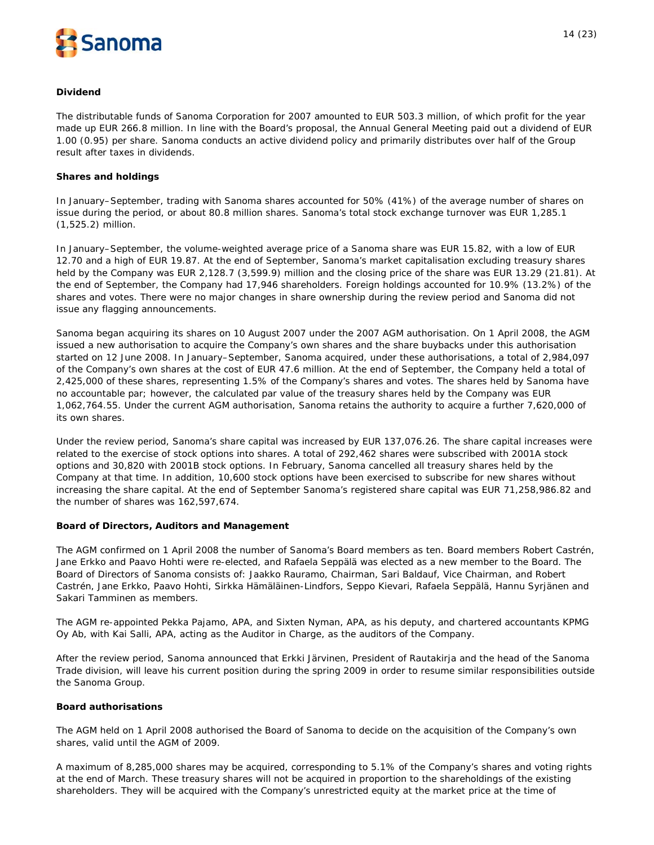

### **Dividend**

The distributable funds of Sanoma Corporation for 2007 amounted to EUR 503.3 million, of which profit for the year made up EUR 266.8 million. In line with the Board's proposal, the Annual General Meeting paid out a dividend of EUR 1.00 (0.95) per share. Sanoma conducts an active dividend policy and primarily distributes over half of the Group result after taxes in dividends.

### **Shares and holdings**

In January–September, trading with Sanoma shares accounted for 50% (41%) of the average number of shares on issue during the period, or about 80.8 million shares. Sanoma's total stock exchange turnover was EUR 1,285.1 (1,525.2) million.

In January–September, the volume-weighted average price of a Sanoma share was EUR 15.82, with a low of EUR 12.70 and a high of EUR 19.87. At the end of September, Sanoma's market capitalisation excluding treasury shares held by the Company was EUR 2,128.7 (3,599.9) million and the closing price of the share was EUR 13.29 (21.81). At the end of September, the Company had 17,946 shareholders. Foreign holdings accounted for 10.9% (13.2%) of the shares and votes. There were no major changes in share ownership during the review period and Sanoma did not issue any flagging announcements.

Sanoma began acquiring its shares on 10 August 2007 under the 2007 AGM authorisation. On 1 April 2008, the AGM issued a new authorisation to acquire the Company's own shares and the share buybacks under this authorisation started on 12 June 2008. In January–September, Sanoma acquired, under these authorisations, a total of 2,984,097 of the Company's own shares at the cost of EUR 47.6 million. At the end of September, the Company held a total of 2,425,000 of these shares, representing 1.5% of the Company's shares and votes. The shares held by Sanoma have no accountable par; however, the calculated par value of the treasury shares held by the Company was EUR 1,062,764.55. Under the current AGM authorisation, Sanoma retains the authority to acquire a further 7,620,000 of its own shares.

Under the review period, Sanoma's share capital was increased by EUR 137,076.26. The share capital increases were related to the exercise of stock options into shares. A total of 292,462 shares were subscribed with 2001A stock options and 30,820 with 2001B stock options. In February, Sanoma cancelled all treasury shares held by the Company at that time. In addition, 10,600 stock options have been exercised to subscribe for new shares without increasing the share capital. At the end of September Sanoma's registered share capital was EUR 71,258,986.82 and the number of shares was 162,597,674.

# **Board of Directors, Auditors and Management**

The AGM confirmed on 1 April 2008 the number of Sanoma's Board members as ten. Board members Robert Castrén, Jane Erkko and Paavo Hohti were re-elected, and Rafaela Seppälä was elected as a new member to the Board. The Board of Directors of Sanoma consists of: Jaakko Rauramo, Chairman, Sari Baldauf, Vice Chairman, and Robert Castrén, Jane Erkko, Paavo Hohti, Sirkka Hämäläinen-Lindfors, Seppo Kievari, Rafaela Seppälä, Hannu Syrjänen and Sakari Tamminen as members.

The AGM re-appointed Pekka Pajamo, APA, and Sixten Nyman, APA, as his deputy, and chartered accountants KPMG Oy Ab, with Kai Salli, APA, acting as the Auditor in Charge, as the auditors of the Company.

After the review period, Sanoma announced that Erkki Järvinen, President of Rautakirja and the head of the Sanoma Trade division, will leave his current position during the spring 2009 in order to resume similar responsibilities outside the Sanoma Group.

#### **Board authorisations**

The AGM held on 1 April 2008 authorised the Board of Sanoma to decide on the acquisition of the Company's own shares, valid until the AGM of 2009.

A maximum of 8,285,000 shares may be acquired, corresponding to 5.1% of the Company's shares and voting rights at the end of March. These treasury shares will not be acquired in proportion to the shareholdings of the existing shareholders. They will be acquired with the Company's unrestricted equity at the market price at the time of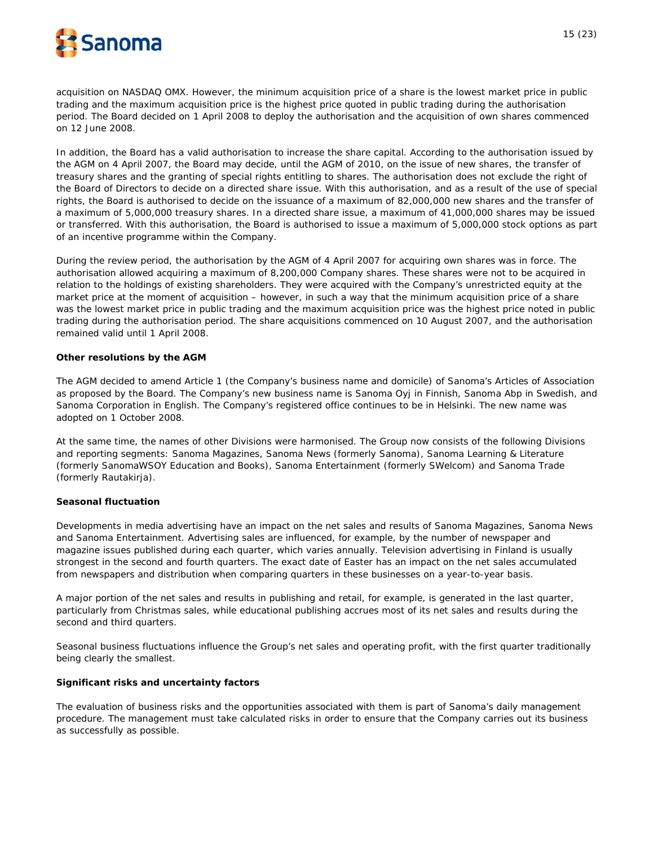

acquisition on NASDAQ OMX. However, the minimum acquisition price of a share is the lowest market price in public trading and the maximum acquisition price is the highest price quoted in public trading during the authorisation period. The Board decided on 1 April 2008 to deploy the authorisation and the acquisition of own shares commenced on 12 June 2008.

In addition, the Board has a valid authorisation to increase the share capital. According to the authorisation issued by the AGM on 4 April 2007, the Board may decide, until the AGM of 2010, on the issue of new shares, the transfer of treasury shares and the granting of special rights entitling to shares. The authorisation does not exclude the right of the Board of Directors to decide on a directed share issue. With this authorisation, and as a result of the use of special rights, the Board is authorised to decide on the issuance of a maximum of 82,000,000 new shares and the transfer of a maximum of 5,000,000 treasury shares. In a directed share issue, a maximum of 41,000,000 shares may be issued or transferred. With this authorisation, the Board is authorised to issue a maximum of 5,000,000 stock options as part of an incentive programme within the Company.

During the review period, the authorisation by the AGM of 4 April 2007 for acquiring own shares was in force. The authorisation allowed acquiring a maximum of 8,200,000 Company shares. These shares were not to be acquired in relation to the holdings of existing shareholders. They were acquired with the Company's unrestricted equity at the market price at the moment of acquisition – however, in such a way that the minimum acquisition price of a share was the lowest market price in public trading and the maximum acquisition price was the highest price noted in public trading during the authorisation period. The share acquisitions commenced on 10 August 2007, and the authorisation remained valid until 1 April 2008.

### **Other resolutions by the AGM**

The AGM decided to amend Article 1 (the Company's business name and domicile) of Sanoma's Articles of Association as proposed by the Board. The Company's new business name is Sanoma Oyj in Finnish, Sanoma Abp in Swedish, and Sanoma Corporation in English. The Company's registered office continues to be in Helsinki. The new name was adopted on 1 October 2008.

At the same time, the names of other Divisions were harmonised. The Group now consists of the following Divisions and reporting segments: Sanoma Magazines, Sanoma News (formerly Sanoma), Sanoma Learning & Literature (formerly SanomaWSOY Education and Books), Sanoma Entertainment (formerly SWelcom) and Sanoma Trade (formerly Rautakirja).

#### **Seasonal fluctuation**

Developments in media advertising have an impact on the net sales and results of Sanoma Magazines, Sanoma News and Sanoma Entertainment. Advertising sales are influenced, for example, by the number of newspaper and magazine issues published during each quarter, which varies annually. Television advertising in Finland is usually strongest in the second and fourth quarters. The exact date of Easter has an impact on the net sales accumulated from newspapers and distribution when comparing quarters in these businesses on a year-to-year basis.

A major portion of the net sales and results in publishing and retail, for example, is generated in the last quarter, particularly from Christmas sales, while educational publishing accrues most of its net sales and results during the second and third quarters.

Seasonal business fluctuations influence the Group's net sales and operating profit, with the first quarter traditionally being clearly the smallest.

#### **Significant risks and uncertainty factors**

The evaluation of business risks and the opportunities associated with them is part of Sanoma's daily management procedure. The management must take calculated risks in order to ensure that the Company carries out its business as successfully as possible.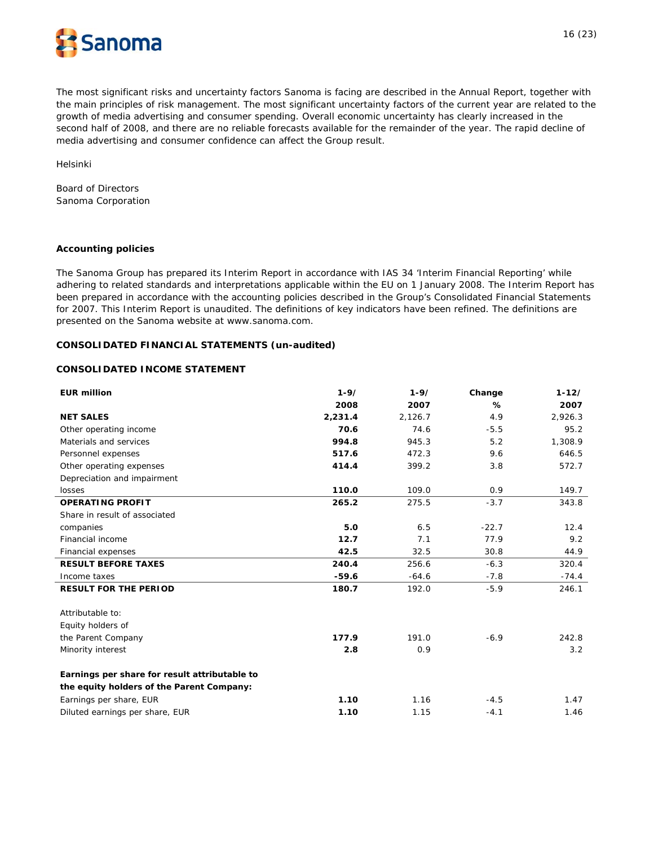

The most significant risks and uncertainty factors Sanoma is facing are described in the Annual Report, together with the main principles of risk management. The most significant uncertainty factors of the current year are related to the growth of media advertising and consumer spending. Overall economic uncertainty has clearly increased in the second half of 2008, and there are no reliable forecasts available for the remainder of the year. The rapid decline of media advertising and consumer confidence can affect the Group result.

Helsinki

Board of Directors Sanoma Corporation

#### **Accounting policies**

The Sanoma Group has prepared its Interim Report in accordance with IAS 34 'Interim Financial Reporting' while adhering to related standards and interpretations applicable within the EU on 1 January 2008. The Interim Report has been prepared in accordance with the accounting policies described in the Group's Consolidated Financial Statements for 2007. This Interim Report is unaudited. The definitions of key indicators have been refined. The definitions are presented on the Sanoma website at www.sanoma.com.

#### **CONSOLIDATED FINANCIAL STATEMENTS (un-audited)**

## **CONSOLIDATED INCOME STATEMENT**

| <b>EUR million</b>                            | $1 - 9/$ | $1 - 9/$ | Change  | $1 - 12/$ |
|-----------------------------------------------|----------|----------|---------|-----------|
|                                               | 2008     | 2007     | %       | 2007      |
| <b>NET SALES</b>                              | 2,231.4  | 2,126.7  | 4.9     | 2,926.3   |
| Other operating income                        | 70.6     | 74.6     | $-5.5$  | 95.2      |
| Materials and services                        | 994.8    | 945.3    | 5.2     | 1,308.9   |
| Personnel expenses                            | 517.6    | 472.3    | 9.6     | 646.5     |
| Other operating expenses                      | 414.4    | 399.2    | 3.8     | 572.7     |
| Depreciation and impairment                   |          |          |         |           |
| losses                                        | 110.0    | 109.0    | 0.9     | 149.7     |
| <b>OPERATING PROFIT</b>                       | 265.2    | 275.5    | $-3.7$  | 343.8     |
| Share in result of associated                 |          |          |         |           |
| companies                                     | 5.0      | 6.5      | $-22.7$ | 12.4      |
| Financial income                              | 12.7     | 7.1      | 77.9    | 9.2       |
| Financial expenses                            | 42.5     | 32.5     | 30.8    | 44.9      |
| <b>RESULT BEFORE TAXES</b>                    | 240.4    | 256.6    | $-6.3$  | 320.4     |
| Income taxes                                  | $-59.6$  | $-64.6$  | $-7.8$  | $-74.4$   |
| <b>RESULT FOR THE PERIOD</b>                  | 180.7    | 192.0    | $-5.9$  | 246.1     |
| Attributable to:                              |          |          |         |           |
| Equity holders of                             |          |          |         |           |
| the Parent Company                            | 177.9    | 191.0    | $-6.9$  | 242.8     |
| Minority interest                             | 2.8      | 0.9      |         | 3.2       |
| Earnings per share for result attributable to |          |          |         |           |
| the equity holders of the Parent Company:     |          |          |         |           |
| Earnings per share, EUR                       | 1.10     | 1.16     | $-4.5$  | 1.47      |
| Diluted earnings per share, EUR               | 1.10     | 1.15     | $-4.1$  | 1.46      |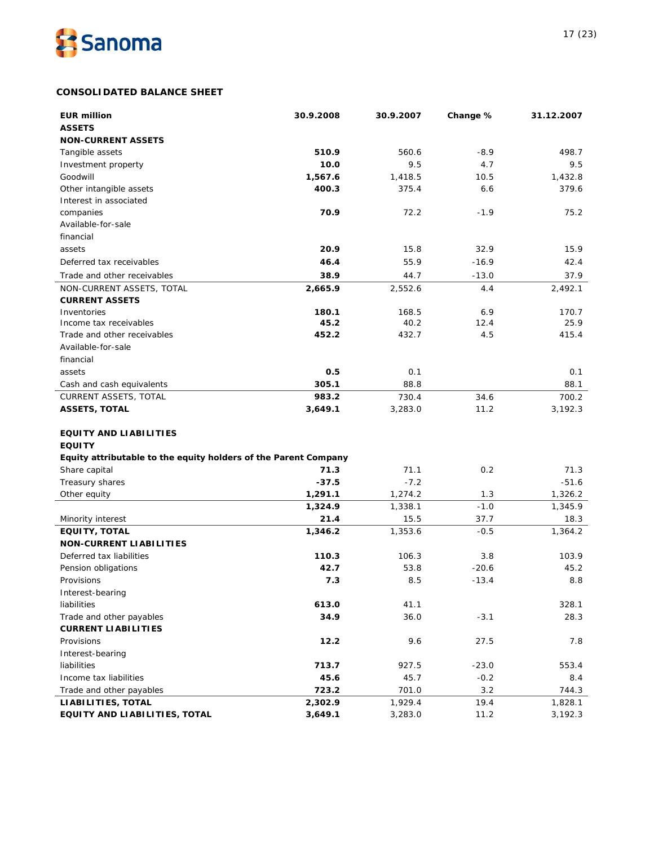

# **CONSOLIDATED BALANCE SHEET**

| <b>EUR million</b>                                              | 30.9.2008 | 30.9.2007 | Change % | 31.12.2007 |
|-----------------------------------------------------------------|-----------|-----------|----------|------------|
| <b>ASSETS</b>                                                   |           |           |          |            |
| <b>NON-CURRENT ASSETS</b>                                       |           |           |          |            |
| Tangible assets                                                 | 510.9     | 560.6     | $-8.9$   | 498.7      |
| Investment property                                             | 10.0      | 9.5       | 4.7      | 9.5        |
| Goodwill                                                        | 1,567.6   | 1,418.5   | 10.5     | 1,432.8    |
| Other intangible assets                                         | 400.3     | 375.4     | 6.6      | 379.6      |
| Interest in associated                                          |           |           |          |            |
| companies                                                       | 70.9      | 72.2      | $-1.9$   | 75.2       |
| Available-for-sale                                              |           |           |          |            |
| financial                                                       |           |           |          |            |
| assets                                                          | 20.9      | 15.8      | 32.9     | 15.9       |
| Deferred tax receivables                                        | 46.4      | 55.9      | $-16.9$  | 42.4       |
| Trade and other receivables                                     | 38.9      | 44.7      | $-13.0$  | 37.9       |
| NON-CURRENT ASSETS, TOTAL                                       | 2,665.9   | 2,552.6   | 4.4      | 2,492.1    |
| <b>CURRENT ASSETS</b>                                           |           |           |          |            |
| Inventories                                                     | 180.1     | 168.5     | 6.9      | 170.7      |
| Income tax receivables                                          | 45.2      | 40.2      | 12.4     | 25.9       |
| Trade and other receivables                                     | 452.2     | 432.7     | 4.5      | 415.4      |
| Available-for-sale                                              |           |           |          |            |
| financial                                                       |           |           |          |            |
| assets                                                          | 0.5       | 0.1       |          | 0.1        |
| Cash and cash equivalents                                       | 305.1     | 88.8      |          | 88.1       |
| <b>CURRENT ASSETS, TOTAL</b>                                    | 983.2     | 730.4     | 34.6     | 700.2      |
| <b>ASSETS, TOTAL</b>                                            | 3,649.1   | 3,283.0   | 11.2     | 3,192.3    |
|                                                                 |           |           |          |            |
| <b>EQUITY AND LIABILITIES</b>                                   |           |           |          |            |
| <b>EQUITY</b>                                                   |           |           |          |            |
| Equity attributable to the equity holders of the Parent Company |           |           |          |            |
| Share capital                                                   | 71.3      | 71.1      | 0.2      | 71.3       |
| Treasury shares                                                 | $-37.5$   | $-7.2$    |          | $-51.6$    |
| Other equity                                                    | 1,291.1   | 1,274.2   | 1.3      | 1,326.2    |
|                                                                 | 1,324.9   | 1,338.1   | $-1.0$   | 1,345.9    |
| Minority interest                                               | 21.4      | 15.5      | 37.7     | 18.3       |
| <b>EQUITY, TOTAL</b>                                            | 1,346.2   | 1,353.6   | $-0.5$   | 1,364.2    |
| <b>NON-CURRENT LIABILITIES</b>                                  |           |           |          |            |
| Deferred tax liabilities                                        | 110.3     | 106.3     | 3.8      | 103.9      |
| Pension obligations                                             | 42.7      | 53.8      | $-20.6$  | 45.2       |
| Provisions                                                      | 7.3       | 8.5       | $-13.4$  | 8.8        |
| Interest-bearing                                                |           |           |          |            |
| liabilities                                                     | 613.0     | 41.1      |          | 328.1      |
| Trade and other payables                                        | 34.9      | 36.0      | $-3.1$   | 28.3       |
| <b>CURRENT LIABILITIES</b>                                      |           |           |          |            |
| Provisions                                                      | 12.2      | 9.6       | 27.5     | 7.8        |
| Interest-bearing                                                |           |           |          |            |
| liabilities                                                     | 713.7     | 927.5     | $-23.0$  | 553.4      |
| Income tax liabilities                                          | 45.6      | 45.7      | $-0.2$   | 8.4        |
| Trade and other payables                                        | 723.2     | 701.0     | 3.2      | 744.3      |
| LIABILITIES, TOTAL                                              | 2,302.9   | 1,929.4   | 19.4     | 1,828.1    |
| EQUITY AND LIABILITIES, TOTAL                                   | 3,649.1   | 3,283.0   | 11.2     | 3,192.3    |
|                                                                 |           |           |          |            |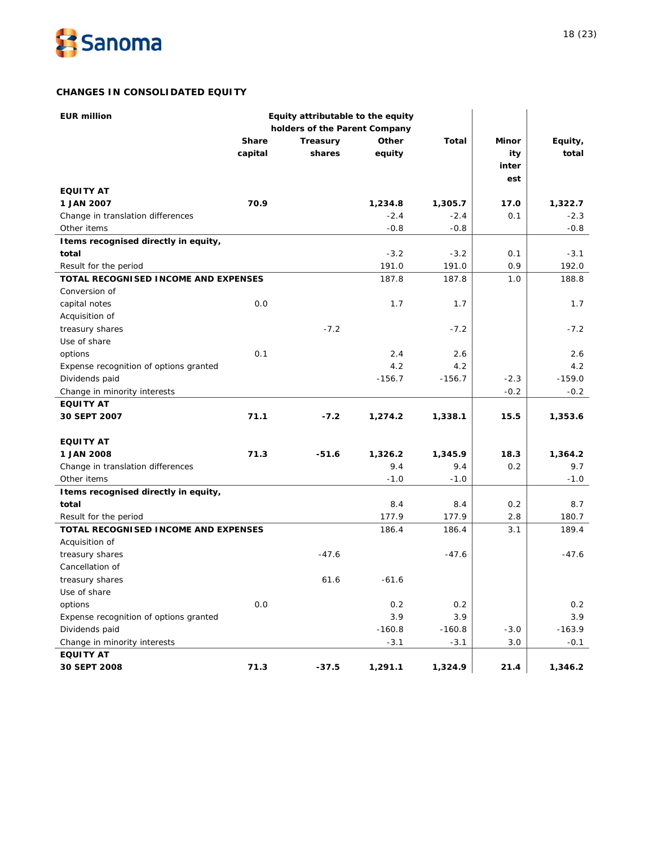

# **CHANGES IN CONSOLIDATED EQUITY**

| <b>EUR million</b>                          | Equity attributable to the equity |                               |          |              |        |          |
|---------------------------------------------|-----------------------------------|-------------------------------|----------|--------------|--------|----------|
|                                             |                                   | holders of the Parent Company |          |              |        |          |
|                                             | <b>Share</b>                      | Treasury                      | Other    | <b>Total</b> | Minor  | Equity,  |
|                                             | capital                           | shares                        | equity   |              | ity    | total    |
|                                             |                                   |                               |          |              | inter  |          |
|                                             |                                   |                               |          |              | est    |          |
| <b>EQUITY AT</b>                            |                                   |                               |          |              |        |          |
| 1 JAN 2007                                  | 70.9                              |                               | 1,234.8  | 1,305.7      | 17.0   | 1,322.7  |
| Change in translation differences           |                                   |                               | $-2.4$   | $-2.4$       | 0.1    | $-2.3$   |
| Other items                                 |                                   |                               | $-0.8$   | $-0.8$       |        | $-0.8$   |
| I tems recognised directly in equity,       |                                   |                               |          |              |        |          |
| total                                       |                                   |                               | $-3.2$   | $-3.2$       | 0.1    | $-3.1$   |
| Result for the period                       |                                   |                               | 191.0    | 191.0        | 0.9    | 192.0    |
| TOTAL RECOGNISED INCOME AND EXPENSES        |                                   |                               | 187.8    | 187.8        | 1.0    | 188.8    |
| Conversion of                               |                                   |                               |          |              |        |          |
| capital notes                               | 0.0                               |                               | 1.7      | 1.7          |        | 1.7      |
| Acquisition of                              |                                   |                               |          |              |        |          |
| treasury shares                             |                                   | $-7.2$                        |          | $-7.2$       |        | $-7.2$   |
| Use of share                                |                                   |                               |          |              |        |          |
| options                                     | 0.1                               |                               | 2.4      | 2.6          |        | 2.6      |
| Expense recognition of options granted      |                                   |                               | 4.2      | 4.2          |        | 4.2      |
| Dividends paid                              |                                   |                               | $-156.7$ | $-156.7$     | $-2.3$ | $-159.0$ |
| Change in minority interests                |                                   |                               |          |              | $-0.2$ | $-0.2$   |
| <b>EQUITY AT</b>                            |                                   |                               |          |              |        |          |
| 30 SEPT 2007                                | 71.1                              | $-7.2$                        | 1,274.2  | 1,338.1      | 15.5   | 1,353.6  |
|                                             |                                   |                               |          |              |        |          |
| <b>EQUITY AT</b>                            |                                   |                               |          |              |        |          |
| 1 JAN 2008                                  | 71.3                              | $-51.6$                       | 1,326.2  | 1,345.9      | 18.3   | 1,364.2  |
| Change in translation differences           |                                   |                               | 9.4      | 9.4          | 0.2    | 9.7      |
| Other items                                 |                                   |                               | $-1.0$   | $-1.0$       |        | $-1.0$   |
| I tems recognised directly in equity,       |                                   |                               |          |              |        |          |
| total                                       |                                   |                               | 8.4      | 8.4          | 0.2    | 8.7      |
| Result for the period                       |                                   |                               | 177.9    | 177.9        | 2.8    | 180.7    |
| <b>TOTAL RECOGNISED INCOME AND EXPENSES</b> |                                   |                               | 186.4    | 186.4        | 3.1    | 189.4    |
| Acquisition of                              |                                   |                               |          |              |        |          |
| treasury shares                             |                                   | $-47.6$                       |          | $-47.6$      |        | $-47.6$  |
| Cancellation of                             |                                   |                               |          |              |        |          |
| treasury shares                             |                                   | 61.6                          | $-61.6$  |              |        |          |
| Use of share                                |                                   |                               |          |              |        |          |
| options                                     | $0.0$                             |                               | 0.2      | 0.2          |        | 0.2      |
| Expense recognition of options granted      |                                   |                               | 3.9      | 3.9          |        | 3.9      |
| Dividends paid                              |                                   |                               | $-160.8$ | $-160.8$     | $-3.0$ | $-163.9$ |
| Change in minority interests                |                                   |                               | $-3.1$   | $-3.1$       | 3.0    | $-0.1$   |
| <b>EQUITY AT</b>                            |                                   |                               |          |              |        |          |
| 30 SEPT 2008                                | 71.3                              | $-37.5$                       | 1,291.1  | 1,324.9      | 21.4   | 1,346.2  |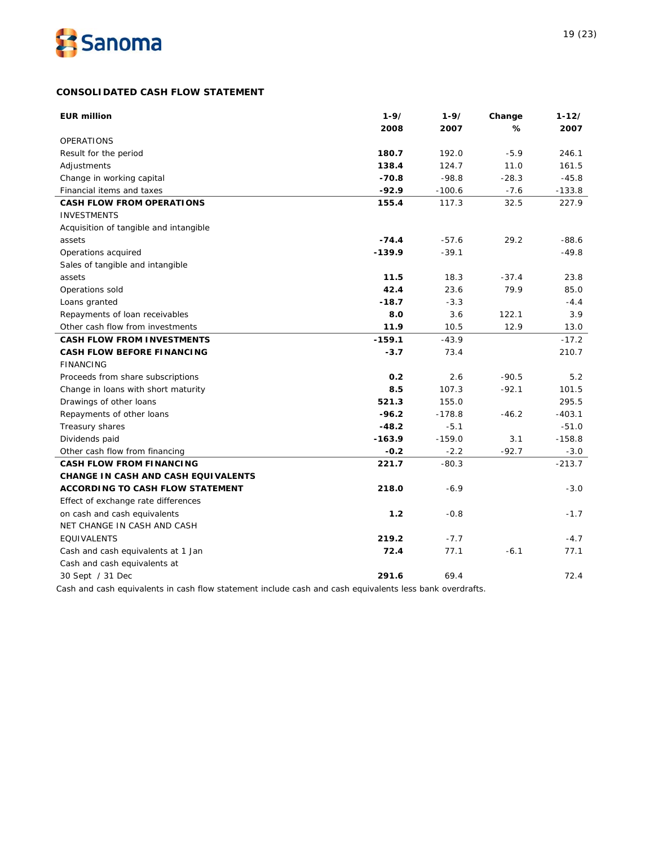

# **CONSOLIDATED CASH FLOW STATEMENT**

| <b>EUR million</b>                         | $1 - 9/$ | $1 - 9/$ | Change  | $1 - 12/$ |
|--------------------------------------------|----------|----------|---------|-----------|
|                                            | 2008     | 2007     | %       | 2007      |
| <b>OPERATIONS</b>                          |          |          |         |           |
| Result for the period                      | 180.7    | 192.0    | $-5.9$  | 246.1     |
| Adjustments                                | 138.4    | 124.7    | 11.0    | 161.5     |
| Change in working capital                  | $-70.8$  | $-98.8$  | $-28.3$ | $-45.8$   |
| Financial items and taxes                  | $-92.9$  | $-100.6$ | $-7.6$  | $-133.8$  |
| <b>CASH FLOW FROM OPERATIONS</b>           | 155.4    | 117.3    | 32.5    | 227.9     |
| <b>INVESTMENTS</b>                         |          |          |         |           |
| Acquisition of tangible and intangible     |          |          |         |           |
| assets                                     | $-74.4$  | $-57.6$  | 29.2    | $-88.6$   |
| Operations acquired                        | $-139.9$ | $-39.1$  |         | $-49.8$   |
| Sales of tangible and intangible           |          |          |         |           |
| assets                                     | 11.5     | 18.3     | $-37.4$ | 23.8      |
| Operations sold                            | 42.4     | 23.6     | 79.9    | 85.0      |
| Loans granted                              | $-18.7$  | $-3.3$   |         | $-4.4$    |
| Repayments of loan receivables             | 8.0      | 3.6      | 122.1   | 3.9       |
| Other cash flow from investments           | 11.9     | 10.5     | 12.9    | 13.0      |
| <b>CASH FLOW FROM INVESTMENTS</b>          | $-159.1$ | $-43.9$  |         | $-17.2$   |
| <b>CASH FLOW BEFORE FINANCING</b>          | $-3.7$   | 73.4     |         | 210.7     |
| <b>FINANCING</b>                           |          |          |         |           |
| Proceeds from share subscriptions          | 0.2      | 2.6      | $-90.5$ | 5.2       |
| Change in loans with short maturity        | 8.5      | 107.3    | $-92.1$ | 101.5     |
| Drawings of other loans                    | 521.3    | 155.0    |         | 295.5     |
| Repayments of other loans                  | $-96.2$  | $-178.8$ | $-46.2$ | $-403.1$  |
| Treasury shares                            | $-48.2$  | $-5.1$   |         | $-51.0$   |
| Dividends paid                             | $-163.9$ | $-159.0$ | 3.1     | $-158.8$  |
| Other cash flow from financing             | $-0.2$   | $-2.2$   | $-92.7$ | $-3.0$    |
| <b>CASH FLOW FROM FINANCING</b>            | 221.7    | $-80.3$  |         | $-213.7$  |
| <b>CHANGE IN CASH AND CASH EQUIVALENTS</b> |          |          |         |           |
| <b>ACCORDING TO CASH FLOW STATEMENT</b>    | 218.0    | $-6.9$   |         | $-3.0$    |
| Effect of exchange rate differences        |          |          |         |           |
| on cash and cash equivalents               | 1.2      | $-0.8$   |         | $-1.7$    |
| NET CHANGE IN CASH AND CASH                |          |          |         |           |
| EQUIVALENTS                                | 219.2    | $-7.7$   |         | $-4.7$    |
| Cash and cash equivalents at 1 Jan         | 72.4     | 77.1     | $-6.1$  | 77.1      |
| Cash and cash equivalents at               |          |          |         |           |
| 30 Sept / 31 Dec                           | 291.6    | 69.4     |         | 72.4      |
|                                            |          |          |         |           |

Cash and cash equivalents in cash flow statement include cash and cash equivalents less bank overdrafts.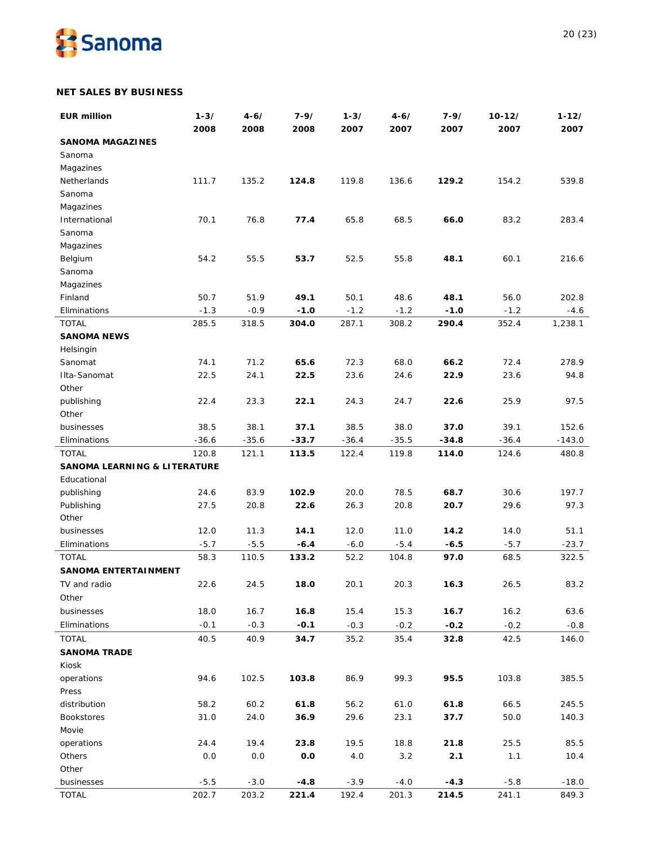

# **NET SALES BY BUSINESS**

| <b>EUR million</b>                      | $1 - 3/$ | $4 - 6/$ | $7 - 9/$ | $1 - 3/$    | $4 - 6/$    | $7 - 9/$    | $10 - 12/$  | $1 - 12/$ |
|-----------------------------------------|----------|----------|----------|-------------|-------------|-------------|-------------|-----------|
|                                         | 2008     | 2008     | 2008     | 2007        | 2007        | 2007        | 2007        | 2007      |
| <b>SANOMA MAGAZINES</b>                 |          |          |          |             |             |             |             |           |
| Sanoma                                  |          |          |          |             |             |             |             |           |
| Magazines                               |          |          |          |             |             |             |             |           |
| Netherlands                             | 111.7    | 135.2    | 124.8    | 119.8       | 136.6       | 129.2       | 154.2       | 539.8     |
| Sanoma                                  |          |          |          |             |             |             |             |           |
| Magazines                               |          |          |          |             |             |             |             |           |
| International                           | 70.1     | 76.8     | 77.4     | 65.8        | 68.5        | 66.0        | 83.2        | 283.4     |
| Sanoma                                  |          |          |          |             |             |             |             |           |
| Magazines                               |          |          |          |             |             |             |             |           |
| Belgium                                 | 54.2     | 55.5     | 53.7     | 52.5        | 55.8        | 48.1        | 60.1        | 216.6     |
| Sanoma                                  |          |          |          |             |             |             |             |           |
| Magazines<br>Finland                    | 50.7     | 51.9     | 49.1     | 50.1        | 48.6        | 48.1        | 56.0        | 202.8     |
| Eliminations                            | $-1.3$   | $-0.9$   | $-1.0$   | $-1.2$      | $-1.2$      | $-1.0$      | $-1.2$      | $-4.6$    |
| <b>TOTAL</b>                            | 285.5    | 318.5    | 304.0    | 287.1       | 308.2       | 290.4       | 352.4       | 1,238.1   |
| <b>SANOMA NEWS</b>                      |          |          |          |             |             |             |             |           |
| Helsingin                               |          |          |          |             |             |             |             |           |
| Sanomat                                 | 74.1     | 71.2     | 65.6     | 72.3        | 68.0        | 66.2        | 72.4        | 278.9     |
| Ilta-Sanomat                            | 22.5     | 24.1     | 22.5     | 23.6        | 24.6        | 22.9        | 23.6        | 94.8      |
| Other                                   |          |          |          |             |             |             |             |           |
| publishing                              | 22.4     | 23.3     | 22.1     | 24.3        | 24.7        | 22.6        | 25.9        | 97.5      |
| Other                                   |          |          |          |             |             |             |             |           |
| businesses                              | 38.5     | 38.1     | 37.1     | 38.5        | 38.0        | 37.0        | 39.1        | 152.6     |
| Eliminations                            | $-36.6$  | $-35.6$  | $-33.7$  | $-36.4$     | $-35.5$     | $-34.8$     | $-36.4$     | $-143.0$  |
| <b>TOTAL</b>                            | 120.8    | 121.1    | 113.5    | 122.4       | 119.8       | 114.0       | 124.6       | 480.8     |
| <b>SANOMA LEARNING &amp; LITERATURE</b> |          |          |          |             |             |             |             |           |
| Educational                             |          |          |          |             |             |             |             |           |
| publishing                              | 24.6     | 83.9     | 102.9    | 20.0        | 78.5        | 68.7        | 30.6        | 197.7     |
| Publishing                              | 27.5     | 20.8     | 22.6     | 26.3        | 20.8        | 20.7        | 29.6        | 97.3      |
| Other                                   |          |          |          |             |             |             |             |           |
| businesses                              | 12.0     | 11.3     | 14.1     | 12.0        | 11.0        | 14.2        | 14.0        | 51.1      |
| Eliminations                            | $-5.7$   | $-5.5$   | $-6.4$   | $-6.0$      | $-5.4$      | $-6.5$      | $-5.7$      | $-23.7$   |
| <b>TOTAL</b>                            | 58.3     | 110.5    | 133.2    | 52.2        | 104.8       | 97.0        | 68.5        | 322.5     |
| <b>SANOMA ENTERTAINMENT</b>             |          |          |          |             |             |             |             |           |
| TV and radio                            | 22.6     | 24.5     | 18.0     | 20.1        | 20.3        | 16.3        | 26.5        | 83.2      |
| Other                                   |          |          |          |             |             |             |             |           |
| businesses                              | 18.0     | 16.7     | 16.8     | 15.4        | 15.3        | 16.7        | 16.2        | 63.6      |
| Eliminations                            | $-0.1$   | $-0.3$   | $-0.1$   | $-0.3$      | $-0.2$      | $-0.2$      | $-0.2$      | $-0.8$    |
| <b>TOTAL</b>                            | 40.5     | 40.9     | 34.7     | 35.2        | 35.4        | 32.8        | 42.5        | 146.0     |
| <b>SANOMA TRADE</b>                     |          |          |          |             |             |             |             |           |
| Kiosk                                   |          |          |          |             |             |             |             |           |
| operations                              | 94.6     | 102.5    | 103.8    | 86.9        | 99.3        | 95.5        | 103.8       | 385.5     |
| Press                                   |          |          |          |             |             |             |             |           |
| distribution                            | 58.2     | 60.2     | 61.8     | 56.2        | 61.0        | 61.8        | 66.5        | 245.5     |
| <b>Bookstores</b>                       | 31.0     | 24.0     | 36.9     | 29.6        | 23.1        | 37.7        | 50.0        | 140.3     |
| Movie                                   | 24.4     | 19.4     | 23.8     |             |             |             |             | 85.5      |
| operations<br>Others                    | 0.0      | 0.0      | 0.0      | 19.5<br>4.0 | 18.8<br>3.2 | 21.8<br>2.1 | 25.5<br>1.1 | 10.4      |
| Other                                   |          |          |          |             |             |             |             |           |
| businesses                              | $-5.5$   | $-3.0$   | $-4.8$   | $-3.9$      | $-4.0$      | $-4.3$      | $-5.8$      | $-18.0$   |
| <b>TOTAL</b>                            | 202.7    | 203.2    | 221.4    | 192.4       | 201.3       | 214.5       | 241.1       | 849.3     |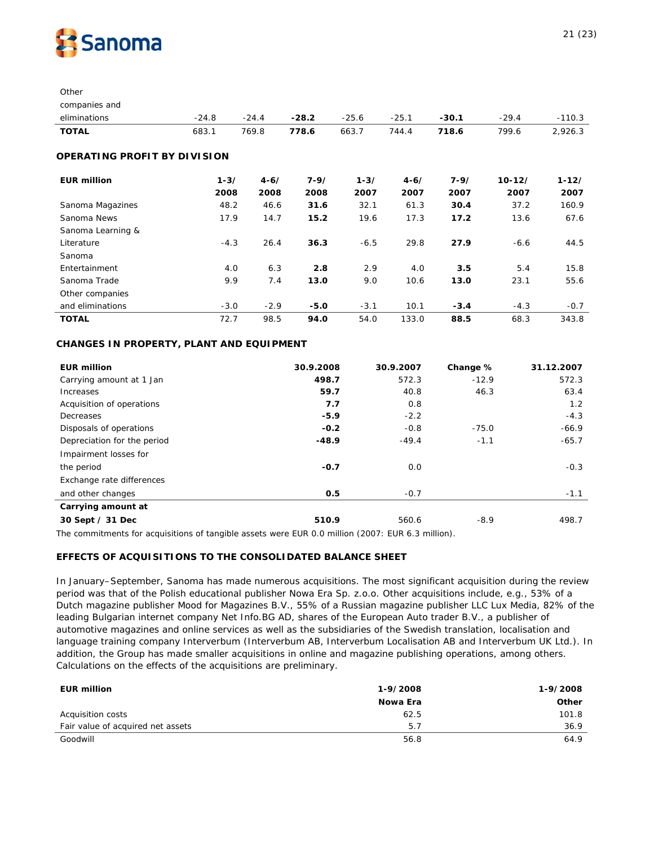

**Other** 

| companies and                |          |          |          |          |          |          |            |           |
|------------------------------|----------|----------|----------|----------|----------|----------|------------|-----------|
| eliminations                 | $-24.8$  | $-24.4$  | $-28.2$  | $-25.6$  | $-25.1$  | $-30.1$  | $-29.4$    | $-110.3$  |
| <b>TOTAL</b>                 | 683.1    | 769.8    | 778.6    | 663.7    | 744.4    | 718.6    | 799.6      | 2,926.3   |
| OPERATING PROFIT BY DIVISION |          |          |          |          |          |          |            |           |
| <b>EUR million</b>           | $1 - 3/$ | $4 - 6/$ | $7 - 9/$ | $1 - 3/$ | $4 - 6/$ | $7 - 9/$ | $10 - 12/$ | $1 - 12/$ |
|                              | 2008     | 2008     | 2008     | 2007     | 2007     | 2007     | 2007       | 2007      |
| Sanoma Magazines             | 48.2     | 46.6     | 31.6     | 32.1     | 61.3     | 30.4     | 37.2       | 160.9     |
| Sanoma News                  | 17.9     | 14.7     | 15.2     | 19.6     | 17.3     | 17.2     | 13.6       | 67.6      |
| Sanoma Learning &            |          |          |          |          |          |          |            |           |
| Literature                   | $-4.3$   | 26.4     | 36.3     | $-6.5$   | 29.8     | 27.9     | $-6.6$     | 44.5      |
| Sanoma                       |          |          |          |          |          |          |            |           |
| Entertainment                | 4.0      | 6.3      | 2.8      | 2.9      | 4.0      | 3.5      | 5.4        | 15.8      |
| Sanoma Trade                 | 9.9      | 7.4      | 13.0     | 9.0      | 10.6     | 13.0     | 23.1       | 55.6      |
| Other companies              |          |          |          |          |          |          |            |           |
| and eliminations             | $-3.0$   | $-2.9$   | $-5.0$   | $-3.1$   | 10.1     | $-3.4$   | $-4.3$     | $-0.7$    |
| <b>TOTAL</b>                 | 72.7     | 98.5     | 94.0     | 54.0     | 133.0    | 88.5     | 68.3       | 343.8     |

# **CHANGES IN PROPERTY, PLANT AND EQUIPMENT**

| <b>EUR million</b>          | 30.9.2008 | 30.9.2007 | Change % | 31.12.2007 |
|-----------------------------|-----------|-----------|----------|------------|
| Carrying amount at 1 Jan    | 498.7     | 572.3     | $-12.9$  | 572.3      |
| Increases                   | 59.7      | 40.8      | 46.3     | 63.4       |
| Acquisition of operations   | 7.7       | 0.8       |          | 1.2        |
| Decreases                   | $-5.9$    | $-2.2$    |          | $-4.3$     |
| Disposals of operations     | $-0.2$    | $-0.8$    | $-75.0$  | $-66.9$    |
| Depreciation for the period | $-48.9$   | $-49.4$   | $-1.1$   | $-65.7$    |
| Impairment losses for       |           |           |          |            |
| the period                  | $-0.7$    | 0.0       |          | $-0.3$     |
| Exchange rate differences   |           |           |          |            |
| and other changes           | 0.5       | $-0.7$    |          | $-1.1$     |
| Carrying amount at          |           |           |          |            |
| 30 Sept / 31 Dec            | 510.9     | 560.6     | $-8.9$   | 498.7      |

The commitments for acquisitions of tangible assets were EUR 0.0 million (2007: EUR 6.3 million).

# **EFFECTS OF ACQUISITIONS TO THE CONSOLIDATED BALANCE SHEET**

In January–September, Sanoma has made numerous acquisitions. The most significant acquisition during the review period was that of the Polish educational publisher Nowa Era Sp. z.o.o. Other acquisitions include, e.g., 53% of a Dutch magazine publisher Mood for Magazines B.V., 55% of a Russian magazine publisher LLC Lux Media, 82% of the leading Bulgarian internet company Net Info.BG AD, shares of the European Auto trader B.V., a publisher of automotive magazines and online services as well as the subsidiaries of the Swedish translation, localisation and language training company Interverbum (Interverbum AB, Interverbum Localisation AB and Interverbum UK Ltd.). In addition, the Group has made smaller acquisitions in online and magazine publishing operations, among others. Calculations on the effects of the acquisitions are preliminary.

| <b>EUR million</b>                | 1-9/2008 | 1-9/2008 |
|-----------------------------------|----------|----------|
|                                   | Nowa Era | Other    |
| Acquisition costs                 | 62.5     | 101.8    |
| Fair value of acquired net assets | 5.7      | 36.9     |
| Goodwill                          | 56.8     | 64.9     |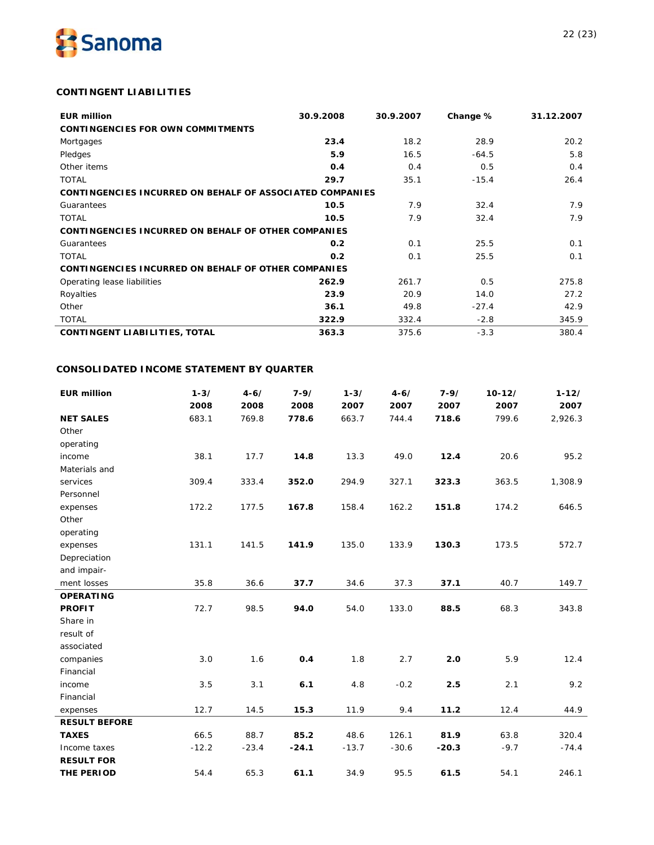

# **CONTINGENT LIABILITIES**

| <b>EUR million</b>                                              | 30.9.2008 | 30.9.2007 | Change % | 31.12.2007 |
|-----------------------------------------------------------------|-----------|-----------|----------|------------|
| <b>CONTINGENCIES FOR OWN COMMITMENTS</b>                        |           |           |          |            |
| Mortgages                                                       | 23.4      | 18.2      | 28.9     | 20.2       |
| Pledges                                                         | 5.9       | 16.5      | $-64.5$  | 5.8        |
| Other items                                                     | 0.4       | 0.4       | 0.5      | 0.4        |
| <b>TOTAL</b>                                                    | 29.7      | 35.1      | $-15.4$  | 26.4       |
| <b>CONTINGENCIES INCURRED ON BEHALF OF ASSOCIATED COMPANIES</b> |           |           |          |            |
| Guarantees                                                      | 10.5      | 7.9       | 32.4     | 7.9        |
| <b>TOTAL</b>                                                    | 10.5      | 7.9       | 32.4     | 7.9        |
| <b>CONTINGENCIES INCURRED ON BEHALF OF OTHER COMPANIES</b>      |           |           |          |            |
| Guarantees                                                      | 0.2       | 0.1       | 25.5     | 0.1        |
| <b>TOTAL</b>                                                    | 0.2       | 0.1       | 25.5     | 0.1        |
| <b>CONTINGENCIES INCURRED ON BEHALF OF OTHER COMPANIES</b>      |           |           |          |            |
| Operating lease liabilities                                     | 262.9     | 261.7     | 0.5      | 275.8      |
| Royalties                                                       | 23.9      | 20.9      | 14.0     | 27.2       |
| Other                                                           | 36.1      | 49.8      | $-27.4$  | 42.9       |
| <b>TOTAL</b>                                                    | 322.9     | 332.4     | $-2.8$   | 345.9      |
| <b>CONTINGENT LIABILITIES, TOTAL</b>                            | 363.3     | 375.6     | $-3.3$   | 380.4      |

# **CONSOLIDATED INCOME STATEMENT BY QUARTER**

| <b>EUR million</b>   | $1 - 3/$ | $4 - 6/$ | $7 - 9/$ | $1 - 3/$ | $4 - 6/$ | $7 - 9/$ | $10 - 12/$ | $1 - 12/$ |
|----------------------|----------|----------|----------|----------|----------|----------|------------|-----------|
|                      | 2008     | 2008     | 2008     | 2007     | 2007     | 2007     | 2007       | 2007      |
| <b>NET SALES</b>     | 683.1    | 769.8    | 778.6    | 663.7    | 744.4    | 718.6    | 799.6      | 2,926.3   |
| Other                |          |          |          |          |          |          |            |           |
| operating            |          |          |          |          |          |          |            |           |
| income               | 38.1     | 17.7     | 14.8     | 13.3     | 49.0     | 12.4     | 20.6       | 95.2      |
| Materials and        |          |          |          |          |          |          |            |           |
| services             | 309.4    | 333.4    | 352.0    | 294.9    | 327.1    | 323.3    | 363.5      | 1,308.9   |
| Personnel            |          |          |          |          |          |          |            |           |
| expenses             | 172.2    | 177.5    | 167.8    | 158.4    | 162.2    | 151.8    | 174.2      | 646.5     |
| Other                |          |          |          |          |          |          |            |           |
| operating            |          |          |          |          |          |          |            |           |
| expenses             | 131.1    | 141.5    | 141.9    | 135.0    | 133.9    | 130.3    | 173.5      | 572.7     |
| Depreciation         |          |          |          |          |          |          |            |           |
| and impair-          |          |          |          |          |          |          |            |           |
| ment losses          | 35.8     | 36.6     | 37.7     | 34.6     | 37.3     | 37.1     | 40.7       | 149.7     |
| <b>OPERATING</b>     |          |          |          |          |          |          |            |           |
| <b>PROFIT</b>        | 72.7     | 98.5     | 94.0     | 54.0     | 133.0    | 88.5     | 68.3       | 343.8     |
| Share in             |          |          |          |          |          |          |            |           |
| result of            |          |          |          |          |          |          |            |           |
| associated           |          |          |          |          |          |          |            |           |
| companies            | 3.0      | 1.6      | 0.4      | 1.8      | 2.7      | 2.0      | 5.9        | 12.4      |
| Financial            |          |          |          |          |          |          |            |           |
| income               | 3.5      | 3.1      | 6.1      | 4.8      | $-0.2$   | 2.5      | 2.1        | 9.2       |
| Financial            |          |          |          |          |          |          |            |           |
| expenses             | 12.7     | 14.5     | 15.3     | 11.9     | 9.4      | 11.2     | 12.4       | 44.9      |
| <b>RESULT BEFORE</b> |          |          |          |          |          |          |            |           |
| <b>TAXES</b>         | 66.5     | 88.7     | 85.2     | 48.6     | 126.1    | 81.9     | 63.8       | 320.4     |
| Income taxes         | $-12.2$  | $-23.4$  | $-24.1$  | $-13.7$  | $-30.6$  | $-20.3$  | $-9.7$     | $-74.4$   |
| <b>RESULT FOR</b>    |          |          |          |          |          |          |            |           |
| THE PERIOD           | 54.4     | 65.3     | 61.1     | 34.9     | 95.5     | 61.5     | 54.1       | 246.1     |